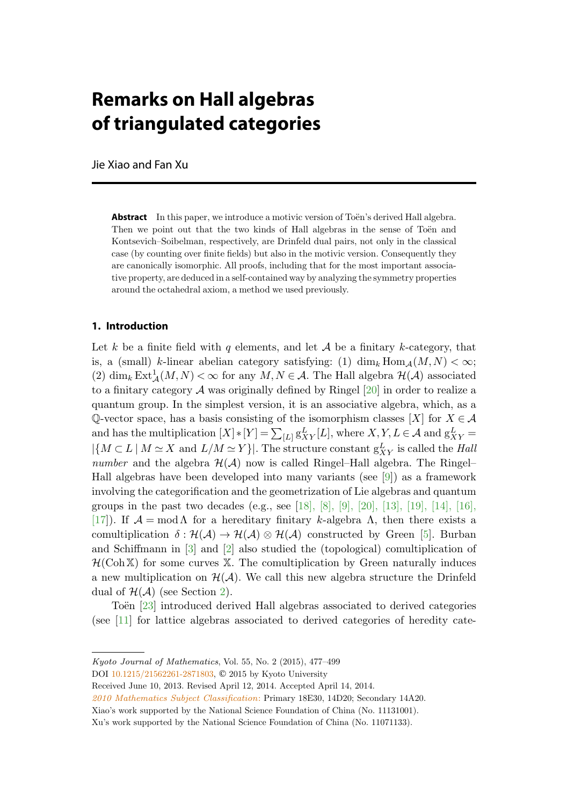# **Remarks on Hall algebras of triangulated categories**

Jie Xiao and Fan Xu

**Abstract** In this paper, we introduce a motivic version of Toën's derived Hall algebra. Then we point out that the two kinds of Hall algebras in the sense of Toën and Kontsevich–Soibelman, respectively, are Drinfeld dual pairs, not only in the classical case (by counting over finite fields) but also in the motivic version. Consequently they are canonically isomorphic. All proofs, including that for the most important associative property, are deduced in a self-contained way by analyzing the symmetry properties around the octahedral axiom, a method we used previously.

## **1. Introduction**

Let k be a finite field with q elements, and let  $A$  be a finitary k-category, that is, a (small) k-linear abelian category satisfying: (1)  $\dim_k \text{Hom}_{\mathcal{A}}(M,N) < \infty$ ; (2)  $\dim_k \text{Ext}^1_{\mathcal{A}}(M,N) < \infty$  for any  $M, N \in \mathcal{A}$ . The Hall algebra  $\mathcal{H}(\mathcal{A})$  associated to a finitary category  $A$  was originally defined by Ringel  $[20]$  $[20]$  in order to realize a quantum group. In the simplest version, it is an associative algebra, which, as a Q-vector space, has a basis consisting of the isomorphism classes [X] for  $X \in \mathcal{A}$ and has the multiplication  $[X] * [Y] = \sum_{[L]} g_{XY}^L[L]$ , where  $X, Y, L \in \mathcal{A}$  and  $g_{XY}^L =$  $|\{M \subset L \mid M \simeq X \text{ and } L/M \simeq Y\}|.$  The structure constant  $g_{XY}^L$  is called the Hall number and the algebra  $\mathcal{H}(\mathcal{A})$  now is called Ringel–Hall algebra. The Ringel– Hall algebras have been developed into many variants (see  $[9]$  $[9]$ ) as a framework involving the categorification and the geometrization of Lie algebras and quantum groups in the past two decades (e.g., see [[18\]](#page-22-0), [\[8](#page-21-0)], [\[9](#page-21-0)], [[20\]](#page-22-0), [[13\]](#page-21-0), [\[19](#page-22-0)], [\[14](#page-21-0)], [[16\]](#page-21-0), [[17\]](#page-21-0)). If  $\mathcal{A} = \text{mod }\Lambda$  for a hereditary finitary k-algebra  $\Lambda$ , then there exists a comultiplication  $\delta : \mathcal{H}(\mathcal{A}) \to \mathcal{H}(\mathcal{A}) \otimes \mathcal{H}(\mathcal{A})$  constructed by Green [\[5\]](#page-21-0). Burban and Schiffmann in [\[3](#page-21-0)] and [[2\]](#page-21-0) also studied the (topological) comultiplication of  $H(\text{Coh }X)$  for some curves X. The comultiplication by Green naturally induces a new multiplication on  $\mathcal{H}(\mathcal{A})$ . We call this new algebra structure the Drinfeld dual of  $H(A)$  (see Section [2](#page-1-0)).

Toën [[23\]](#page-22-0) introduced derived Hall algebras associated to derived categories (see [[11\]](#page-21-0) for lattice algebras associated to derived categories of heredity cate-

Kyoto Journal of Mathematics, Vol. 55, No. 2 (2015), 477–499

DOI [10.1215/21562261-2871803](http://dx.doi.org/10.1215/21562261-2871803), © 2015 by Kyoto University

Received June 10, 2013. Revised April 12, 2014. Accepted April 14, 2014.

[<sup>2010</sup> Mathematics Subject Classification](http://www.ams.org/msc/): Primary 18E30, 14D20; Secondary 14A20.

Xiao's work supported by the National Science Foundation of China (No. 11131001).

Xu's work supported by the National Science Foundation of China (No. 11071133).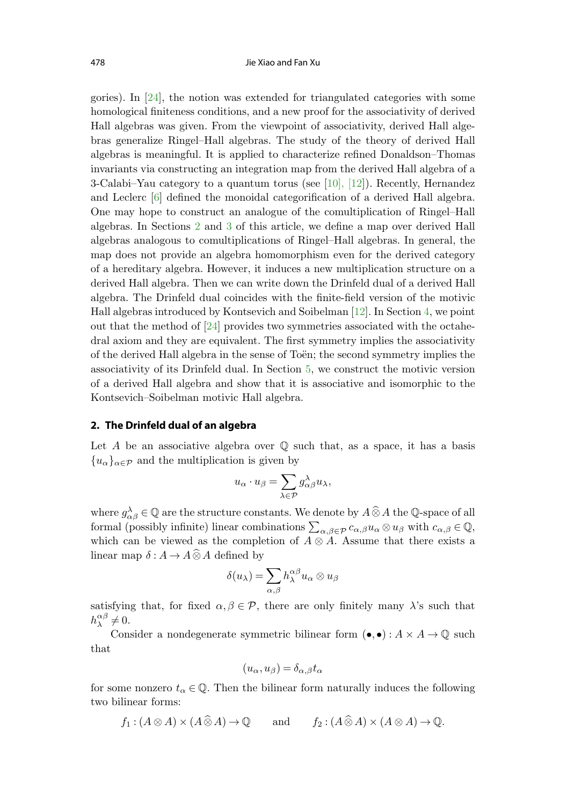<span id="page-1-0"></span>gories). In [[24\]](#page-22-0), the notion was extended for triangulated categories with some homological finiteness conditions, and a new proof for the associativity of derived Hall algebras was given. From the viewpoint of associativity, derived Hall algebras generalize Ringel–Hall algebras. The study of the theory of derived Hall algebras is meaningful. It is applied to characterize refined Donaldson–Thomas invariants via constructing an integration map from the derived Hall algebra of a 3-Calabi–Yau category to a quantum torus (see  $[10]$  $[10]$ ,  $[12]$  $[12]$ ). Recently, Hernandez and Leclerc [\[6](#page-21-0)] defined the monoidal categorification of a derived Hall algebra. One may hope to construct an analogue of the comultiplication of Ringel–Hall algebras. In Sections 2 and [3](#page-3-0) of this article, we define a map over derived Hall algebras analogous to comultiplications of Ringel–Hall algebras. In general, the map does not provide an algebra homomorphism even for the derived category of a hereditary algebra. However, it induces a new multiplication structure on a derived Hall algebra. Then we can write down the Drinfeld dual of a derived Hall algebra. The Drinfeld dual coincides with the finite-field version of the motivic Hall algebras introduced by Kontsevich and Soibelman [[12\]](#page-21-0). In Section [4,](#page-9-0) we point out that the method of [[24\]](#page-22-0) provides two symmetries associated with the octahedral axiom and they are equivalent. The first symmetry implies the associativity of the derived Hall algebra in the sense of Toen; the second symmetry implies the associativity of its Drinfeld dual. In Section [5](#page-14-0), we construct the motivic version of a derived Hall algebra and show that it is associative and isomorphic to the Kontsevich–Soibelman motivic Hall algebra.

# **2. The Drinfeld dual of an algebra**

Let A be an associative algebra over  $\mathbb Q$  such that, as a space, it has a basis  ${u_{\alpha}}_{\alpha\in\mathcal{P}}$  and the multiplication is given by

$$
u_{\alpha} \cdot u_{\beta} = \sum_{\lambda \in \mathcal{P}} g_{\alpha\beta}^{\lambda} u_{\lambda},
$$

where  $g_{\alpha\beta}^{\lambda} \in \mathbb{Q}$  are the structure constants. We denote by  $A \widehat{\otimes} A$  the  $\mathbb{Q}$ -space of all formal (possibly infinite) linear combinations  $\sum_{\alpha,\beta\in\mathcal{P}}c_{\alpha,\beta}u_{\alpha}\otimes u_{\beta}$  with  $c_{\alpha,\beta}\in\mathbb{Q}$ , which can be viewed as the completion of  $A \otimes A$ . Assume that there exists a linear map  $\delta: A \to A \widehat{\otimes} A$  defined by

$$
\delta(u_{\lambda}) = \sum_{\alpha,\beta} h_{\lambda}^{\alpha\beta} u_{\alpha} \otimes u_{\beta}
$$

satisfying that, for fixed  $\alpha, \beta \in \mathcal{P}$ , there are only finitely many  $\lambda$ 's such that  $h_{\lambda}^{\alpha\beta}\neq 0.$ 

Consider a nondegenerate symmetric bilinear form  $(\bullet, \bullet) : A \times A \rightarrow \mathbb{Q}$  such that

$$
(u_{\alpha}, u_{\beta}) = \delta_{\alpha, \beta} t_{\alpha}
$$

for some nonzero  $t_{\alpha} \in \mathbb{Q}$ . Then the bilinear form naturally induces the following two bilinear forms:

 $f_1 : (A \otimes A) \times (A \widehat{\otimes} A) \to \mathbb{Q}$  and  $f_2 : (A \widehat{\otimes} A) \times (A \otimes A) \to \mathbb{Q}$ .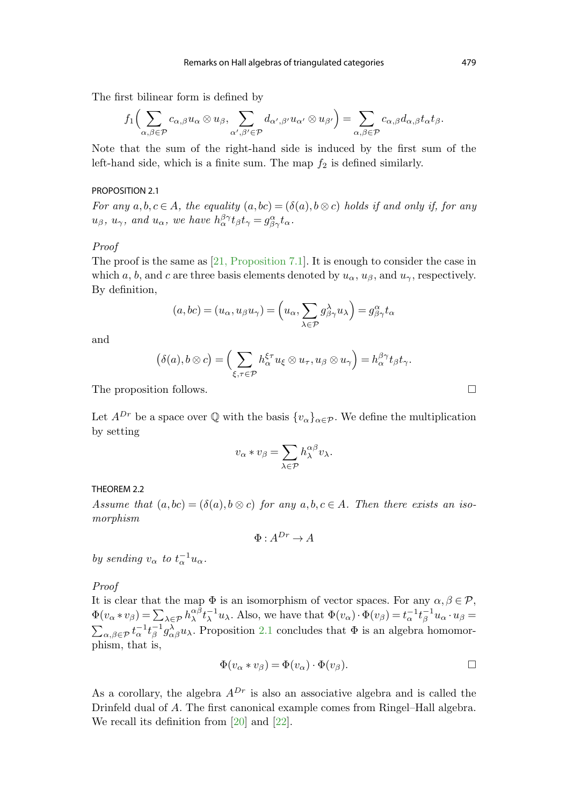<span id="page-2-0"></span>The first bilinear form is defined by

$$
f_1\Bigl(\sum_{\alpha,\beta\in\mathcal{P}}c_{\alpha,\beta}u_\alpha\otimes u_\beta,\sum_{\alpha',\beta'\in\mathcal{P}}d_{\alpha',\beta'}u_{\alpha'}\otimes u_{\beta'}\Bigr)=\sum_{\alpha,\beta\in\mathcal{P}}c_{\alpha,\beta}d_{\alpha,\beta}t_\alpha t_\beta.
$$

Note that the sum of the right-hand side is induced by the first sum of the left-hand side, which is a finite sum. The map  $f_2$  is defined similarly.

#### PROPOSITION 2.1

For any  $a, b, c \in A$ , the equality  $(a, bc) = (\delta(a), b \otimes c)$  holds if and only if, for any  $u_{\beta}$ ,  $u_{\gamma}$ , and  $u_{\alpha}$ , we have  $h_{\alpha}^{\beta\gamma}t_{\beta}t_{\gamma} = g_{\beta\gamma}^{\alpha}t_{\alpha}$ .

#### Proof

The proof is the same as [\[21, Proposition 7.1](#page-22-0)]. It is enough to consider the case in which a, b, and c are three basis elements denoted by  $u_{\alpha}$ ,  $u_{\beta}$ , and  $u_{\gamma}$ , respectively. By definition,

$$
(a, bc) = (u_{\alpha}, u_{\beta}u_{\gamma}) = \left(u_{\alpha}, \sum_{\lambda \in \mathcal{P}} g^{\lambda}_{\beta\gamma} u_{\lambda}\right) = g^{\alpha}_{\beta\gamma} t_{\alpha}
$$

and

$$
(\delta(a), b \otimes c) = \left(\sum_{\xi, \tau \in \mathcal{P}} h^{\xi \tau}_{\alpha} u_{\xi} \otimes u_{\tau}, u_{\beta} \otimes u_{\gamma}\right) = h^{\beta \gamma}_{\alpha} t_{\beta} t_{\gamma}.
$$

The proposition follows.

Let  $A^{Dr}$  be a space over Q with the basis  $\{v_{\alpha}\}_{{\alpha \in \mathcal{P}}}$ . We define the multiplication by setting

$$
v_{\alpha} * v_{\beta} = \sum_{\lambda \in \mathcal{P}} h_{\lambda}^{\alpha \beta} v_{\lambda}.
$$

THEOREM 2.2

Assume that  $(a, bc) = (\delta(a), b \otimes c)$  for any  $a, b, c \in A$ . Then there exists an isomorphism

 $\Phi \cdot A^{Dr} \rightarrow A$ 

by sending  $v_{\alpha}$  to  $t_{\alpha}^{-1}u_{\alpha}$ .

## Proof

It is clear that the map  $\Phi$  is an isomorphism of vector spaces. For any  $\alpha, \beta \in \mathcal{P}$ ,  $\Phi(v_{\alpha} * v_{\beta}) = \sum_{\lambda \in \mathcal{P}} h_{\lambda}^{\alpha \beta} t_{\lambda}^{-1} u_{\lambda}$ . Also, we have that  $\Phi(v_{\alpha}) \cdot \Phi(v_{\beta}) = t_{\alpha}^{-1} t_{\beta}^{-1} u_{\alpha} \cdot u_{\beta} =$ <br> $\sum_{\alpha \in \mathcal{P}} t_{\alpha}^{-1} t_{\alpha}^{-1} g_{\alpha}^{\lambda} u_{\lambda}$ . Proposition 2.1 concludes that  $\Phi$  is an algebra h  $\sum_{\alpha,\beta\in\mathcal{P}}t_{\alpha}^{-1}t_{\beta}^{-1}g_{\alpha\beta}^{\lambda}u_{\lambda}$ . Proposition 2.1 concludes that  $\Phi$  is an algebra homomorphism, that is,

$$
\Phi(v_{\alpha} * v_{\beta}) = \Phi(v_{\alpha}) \cdot \Phi(v_{\beta}).
$$

As a corollary, the algebra  $A^{Dr}$  is also an associative algebra and is called the Drinfeld dual of A. The first canonical example comes from Ringel–Hall algebra. We recall its definition from [\[20](#page-22-0)] and [[22](#page-22-0)].

 $\Box$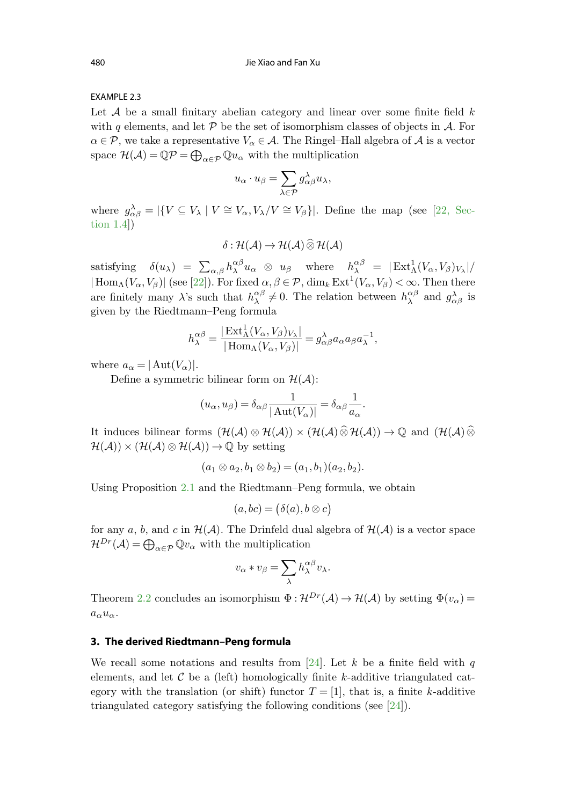## <span id="page-3-0"></span>EXAMPLE 2.3

Let  $A$  be a small finitary abelian category and linear over some finite field  $k$ with q elements, and let  $\mathcal P$  be the set of isomorphism classes of objects in  $\mathcal A$ . For  $\alpha \in \mathcal{P}$ , we take a representative  $V_{\alpha} \in \mathcal{A}$ . The Ringel–Hall algebra of  $\mathcal{A}$  is a vector space  $\mathcal{H}(\mathcal{A}) = \mathbb{Q}\mathcal{P} = \bigoplus_{\alpha \in \mathcal{P}} \mathbb{Q} u_{\alpha}$  with the multiplication

$$
u_\alpha\cdot u_\beta=\sum_{\lambda\in\mathcal{P}}g_{\alpha\beta}^\lambda u_\lambda,
$$

where  $g_{\alpha\beta}^{\lambda} = |\{V \subseteq V_{\lambda} \mid V \cong V_{\alpha}, V_{\lambda}/V \cong V_{\beta}\}|$ [. Define the map \(see \[22](#page-22-0), Section 1.4])

$$
\delta: \mathcal{H}(\mathcal{A}) \to \mathcal{H}(\mathcal{A}) \widehat{\otimes} \mathcal{H}(\mathcal{A})
$$

satisfying  $\delta(u_\lambda) = \sum_{\alpha,\beta} h_\lambda^{\alpha\beta} u_\alpha \otimes u_\beta$  where  $h_\lambda^{\alpha\beta} = |\text{Ext}^1_\Lambda(V_\alpha,V_\beta)_{V_\lambda}|/$  $|\operatorname{Hom}_\Lambda(V_\alpha,V_\beta)|$  (see [[22\]](#page-22-0)). For fixed  $\alpha,\beta\in\mathcal{P}$ ,  $\dim_k \operatorname{Ext}^1(V_\alpha,V_\beta)<\infty$ . Then there are finitely many  $\lambda$ 's such that  $h_{\lambda}^{\alpha\beta} \neq 0$ . The relation between  $h_{\lambda}^{\alpha\beta}$  and  $g_{\alpha\beta}^{\lambda}$  is given by the Riedtmann–Peng formula

$$
h_{\lambda}^{\alpha\beta} = \frac{|\operatorname{Ext}_{\Lambda}^{1}(V_{\alpha}, V_{\beta})_{V_{\lambda}}|}{|\operatorname{Hom}_{\Lambda}(V_{\alpha}, V_{\beta})|} = g_{\alpha\beta}^{\lambda} a_{\alpha} a_{\beta} a_{\lambda}^{-1},
$$

where  $a_{\alpha} = |\text{Aut}(V_{\alpha})|$ .

Define a symmetric bilinear form on  $\mathcal{H}(\mathcal{A})$ :

$$
(u_\alpha,u_\beta)=\delta_{\alpha\beta}\frac{1}{|\operatorname{Aut}(V_\alpha)|}=\delta_{\alpha\beta}\frac{1}{a_\alpha}.
$$

It induces bilinear forms  $(\mathcal{H}(\mathcal{A})\otimes \mathcal{H}(\mathcal{A}))\times (\mathcal{H}(\mathcal{A})\widehat{\otimes} \mathcal{H}(\mathcal{A}))\rightarrow \mathbb{Q}$  and  $(\mathcal{H}(\mathcal{A})\widehat{\otimes}$  $\mathcal{H}(\mathcal{A}) \times (\mathcal{H}(\mathcal{A}) \otimes \mathcal{H}(\mathcal{A})) \rightarrow \mathbb{Q}$  by setting

$$
(a_1 \otimes a_2, b_1 \otimes b_2) = (a_1, b_1)(a_2, b_2).
$$

Using Proposition [2.1](#page-2-0) and the Riedtmann–Peng formula, we obtain

$$
(a, bc) = (\delta(a), b \otimes c)
$$

for any a, b, and c in  $\mathcal{H}(\mathcal{A})$ . The Drinfeld dual algebra of  $\mathcal{H}(\mathcal{A})$  is a vector space  $\mathcal{H}^{Dr}(\mathcal{A}) = \bigoplus_{\alpha \in \mathcal{P}} \mathbb{Q} v_{\alpha}$  with the multiplication

$$
v_{\alpha} * v_{\beta} = \sum_{\lambda} h_{\lambda}^{\alpha\beta} v_{\lambda}.
$$

Theorem [2.2](#page-2-0) concludes an isomorphism  $\Phi : \mathcal{H}^{Dr}(\mathcal{A}) \to \mathcal{H}(\mathcal{A})$  by setting  $\Phi(v_\alpha)$  $a_{\alpha}u_{\alpha}$ .

#### **3. The derived Riedtmann–Peng formula**

We recall some notations and results from [\[24](#page-22-0)]. Let k be a finite field with q elements, and let  $\mathcal C$  be a (left) homologically finite k-additive triangulated category with the translation (or shift) functor  $T = [1]$ , that is, a finite k-additive triangulated category satisfying the following conditions (see [[24\]](#page-22-0)).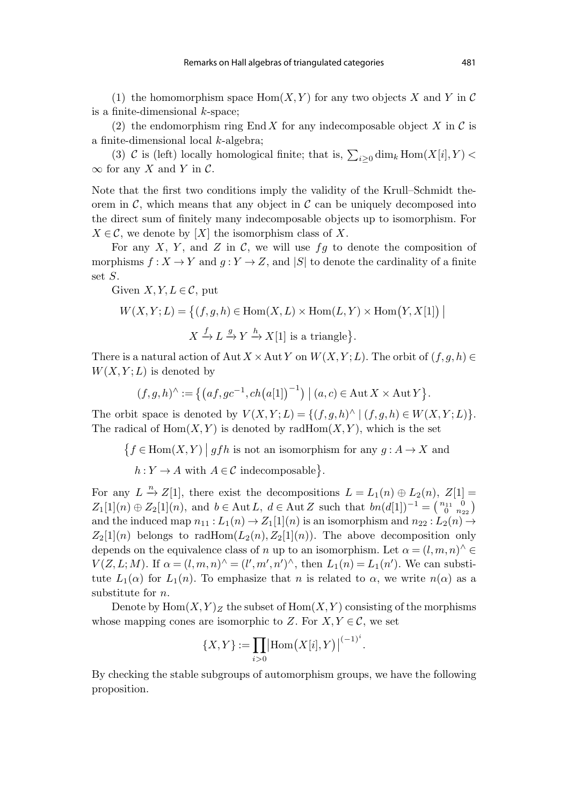<span id="page-4-0"></span>(1) the homomorphism space  $\text{Hom}(X, Y)$  for any two objects X and Y in C is a finite-dimensional  $k$ -space;

(2) the endomorphism ring End X for any indecomposable object X in C is a finite-dimensional local k-algebra;

(3) C is (left) locally homological finite; that is,  $\sum_{i\geq 0} \dim_k \text{Hom}(X[i], Y)$  $\infty$  for any X and Y in C.

Note that the first two conditions imply the validity of the Krull–Schmidt theorem in  $\mathcal{C}$ , which means that any object in  $\mathcal{C}$  can be uniquely decomposed into the direct sum of finitely many indecomposable objects up to isomorphism. For  $X \in \mathcal{C}$ , we denote by [X] the isomorphism class of X.

For any X, Y, and Z in C, we will use  $fg$  to denote the composition of morphisms  $f: X \to Y$  and  $g: Y \to Z$ , and  $|S|$  to denote the cardinality of a finite set S.

Given  $X, Y, L \in \mathcal{C}$ , put

$$
W(X, Y; L) = \left\{ (f, g, h) \in \text{Hom}(X, L) \times \text{Hom}(L, Y) \times \text{Hom}(Y, X[1]) \mid X \xrightarrow{f} L \xrightarrow{g} Y \xrightarrow{h} X[1] \text{ is a triangle} \right\}.
$$

There is a natural action of Aut  $X \times$ Aut Y on  $W(X, Y; L)$ . The orbit of  $(f, g, h) \in$  $W(X, Y; L)$  is denoted by

$$
(f, g, h)^{\wedge} := \left\{ \left( af, gc^{-1}, ch\big( a[1] \big)^{-1} \right) \mid (a, c) \in Aut X \times Aut Y \right\}.
$$

The orbit space is denoted by  $V(X,Y;L) = \{(f,g,h)^\wedge \mid (f,g,h) \in W(X,Y;L)\}.$ The radical of  $Hom(X, Y)$  is denoted by rad $Hom(X, Y)$ , which is the set

 $\big\{ f \in \operatorname{Hom}(X,Y) \;\big|\; gfh \text{ is not an isomorphism for any } g: A \to X \text{ and }$ 

 $h: Y \to A$  with  $A \in \mathcal{C}$  indecomposable}.

For any  $L \stackrel{n}{\to} Z[1]$ , there exist the decompositions  $L = L_1(n) \oplus L_2(n)$ ,  $Z[1] =$  $Z_1[1](n) \oplus Z_2[1](n)$ , and  $b \in \text{Aut } L$ ,  $d \in \text{Aut } Z$  such that  $bn(d[1])^{-1} = \begin{pmatrix} n_{11} & 0 \\ 0 & n_{22} \end{pmatrix}$ and the induced map  $n_{11} : L_1(n) \to Z_1[1](n)$  is an isomorphism and  $n_{22} : L_2(n) \to Z_1[n](n)$  $Z_2[1](n)$  belongs to radHom $(L_2(n), Z_2[1](n))$ . The above decomposition only depends on the equivalence class of n up to an isomorphism. Let  $\alpha = (l, m, n)$ <sup>^</sup>  $V(Z, L; M)$ . If  $\alpha = (l, m, n)$ <sup> $\wedge$ </sup> =  $(l', m', n')$ <sup> $\wedge$ </sup>, then  $L_1(n) = L_1(n')$ . We can substitute  $L_1(\alpha)$  for  $L_1(n)$ . To emphasize that n is related to  $\alpha$ , we write  $n(\alpha)$  as a substitute for *n*.

Denote by  $\text{Hom}(X, Y)_Z$  the subset of  $\text{Hom}(X, Y)$  consisting of the morphisms whose mapping cones are isomorphic to Z. For  $X, Y \in \mathcal{C}$ , we set

$$
\{X,Y\} := \prod_{i>0} | \text{Hom}\big(X[i],Y\big) |^{(-1)^i}.
$$

By checking the stable subgroups of automorphism groups, we have the following proposition.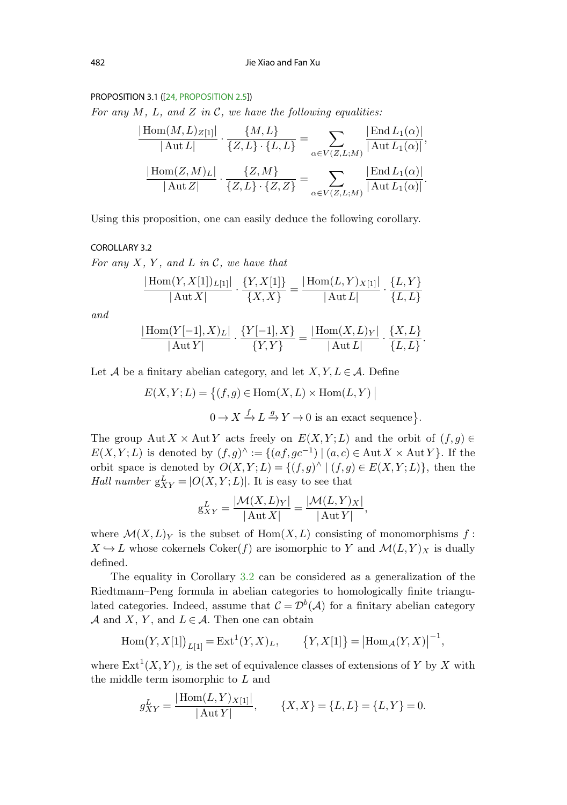#### <span id="page-5-0"></span>PROPOSITION 3.1 ([\[24, PROPOSITION 2.5\]](#page-22-0))

For any  $M$ ,  $L$ , and  $Z$  in  $C$ , we have the following equalities:

$$
\frac{|\text{Hom}(M, L)_{Z[1]}|}{|\text{Aut }L|} \cdot \frac{\{M, L\}}{\{Z, L\} \cdot \{L, L\}} = \sum_{\alpha \in V(Z, L; M)} \frac{|\text{End }L_1(\alpha)|}{|\text{Aut }L_1(\alpha)|},
$$

$$
\frac{|\text{Hom}(Z, M)_{L}|}{|\text{Aut }Z|} \cdot \frac{\{Z, M\}}{\{Z, L\} \cdot \{Z, Z\}} = \sum_{\alpha \in V(Z, L; M)} \frac{|\text{End }L_1(\alpha)|}{|\text{Aut }L_1(\alpha)|}.
$$

Using this proposition, one can easily deduce the following corollary.

#### COROLLARY 3.2

For any  $X$ ,  $Y$ , and  $L$  in  $\mathcal{C}$ , we have that

$$
\frac{|\text{Hom}(Y,X[1])_{L[1]}|}{|\text{Aut }X|} \cdot \frac{\{Y,X[1]\}}{\{X,X\}} = \frac{|\text{Hom}(L,Y)_{X[1]}|}{|\text{Aut }L|} \cdot \frac{\{L,Y\}}{\{L,L\}}
$$

and

$$
\frac{|\text{Hom}(Y[-1],X)_L|}{|\text{Aut}Y|} \cdot \frac{\{Y[-1],X\}}{\{Y,Y\}} = \frac{|\text{Hom}(X,L)_Y|}{|\text{Aut} L|} \cdot \frac{\{X,L\}}{\{L,L\}}.
$$

Let A be a finitary abelian category, and let  $X, Y, L \in \mathcal{A}$ . Define

$$
E(X, Y; L) = \{(f, g) \in \text{Hom}(X, L) \times \text{Hom}(L, Y) \mid
$$
  

$$
0 \to X \xrightarrow{f} L \xrightarrow{g} Y \to 0 \text{ is an exact sequence}\}.
$$

The group Aut X × Aut Y acts freely on  $E(X, Y; L)$  and the orbit of  $(f,g) \in$  $E(X, Y; L)$  is denoted by  $(f,g)^{\wedge} := \{(af, gc^{-1}) \mid (a, c) \in \text{Aut } X \times \text{Aut } Y\}.$  If the orbit space is denoted by  $O(X, Y; L) = \{(f, g) \land | (f, g) \in E(X, Y; L)\}\)$ , then the Hall number  $g_{XY}^L = |O(X, Y; L)|$ . It is easy to see that

$$
g_{XY}^L = \frac{|\mathcal{M}(X, L)_Y|}{|\text{Aut } X|} = \frac{|\mathcal{M}(L, Y)_X|}{|\text{Aut } Y|},
$$

where  $\mathcal{M}(X,L)_Y$  is the subset of  $Hom(X,L)$  consisting of monomorphisms f:  $X \hookrightarrow L$  whose cokernels Coker(f) are isomorphic to Y and  $\mathcal{M}(L, Y)_X$  is dually defined.

The equality in Corollary 3.2 can be considered as a generalization of the Riedtmann–Peng formula in abelian categories to homologically finite triangulated categories. Indeed, assume that  $\mathcal{C} = \mathcal{D}^b(\mathcal{A})$  for a finitary abelian category A and X, Y, and  $L \in \mathcal{A}$ . Then one can obtain

Hom 
$$
(Y, X[1])_{L[1]} = \text{Ext}^1(Y, X)_L
$$
,  $\{Y, X[1]\} = |\text{Hom}_{\mathcal{A}}(Y, X)|^{-1}$ ,

where  $\text{Ext}^1(X,Y)_L$  is the set of equivalence classes of extensions of Y by X with the middle term isomorphic to  $L$  and

$$
g_{XY}^L = \frac{|\text{Hom}(L, Y)_{X[1]}|}{|\text{Aut }Y|}, \qquad \{X, X\} = \{L, L\} = \{L, Y\} = 0.
$$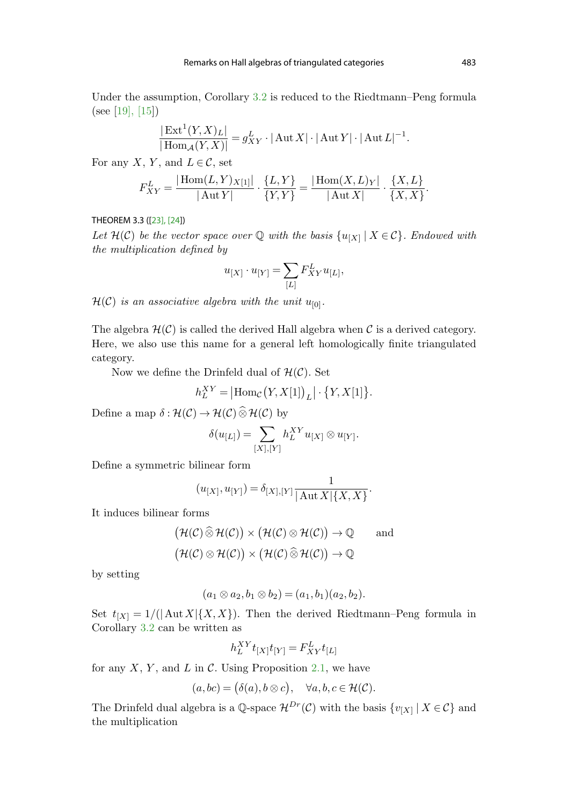<span id="page-6-0"></span>Under the assumption, Corollary [3.2](#page-5-0) is reduced to the Riedtmann–Peng formula (see [[19\]](#page-22-0), [\[15](#page-21-0)])

$$
\frac{|\operatorname{Ext}^1(Y,X)_L|}{|\operatorname{Hom}_\mathcal{A}(Y,X)|}=g^L_{XY}\cdot |\operatorname{Aut} X|\cdot |\operatorname{Aut} Y|\cdot |\operatorname{Aut} L|^{-1}.
$$

For any X, Y, and  $L \in \mathcal{C}$ , set

$$
F_{XY}^L = \frac{|\text{Hom}(L, Y)_{X[1]}|}{|\text{Aut } Y|} \cdot \frac{\{L, Y\}}{\{Y, Y\}} = \frac{|\text{Hom}(X, L)_Y|}{|\text{Aut } X|} \cdot \frac{\{X, L\}}{\{X, X\}}.
$$

## THEOREM 3.3 ([\[23\]](#page-22-0), [\[24\]](#page-22-0))

Let  $\mathcal{H}(\mathcal{C})$  be the vector space over Q with the basis  $\{u_{[X]}\mid X \in \mathcal{C}\}\$ . Endowed with the multiplication defined by

$$
u_{[X]}\cdot u_{[Y]}=\sum_{[L]}F_{XY}^L u_{[L]},
$$

 $\mathcal{H}(\mathcal{C})$  is an associative algebra with the unit  $u_{[0]}$ .

The algebra  $\mathcal{H}(\mathcal{C})$  is called the derived Hall algebra when  $\mathcal{C}$  is a derived category. Here, we also use this name for a general left homologically finite triangulated category.

Now we define the Drinfeld dual of  $\mathcal{H}(\mathcal{C})$ . Set

$$
h_L^{XY} = |\text{Hom}_{\mathcal{C}}(Y, X[1])_L| \cdot \{Y, X[1]\}.
$$

Define a map  $\delta : \mathcal{H}(\mathcal{C}) \to \mathcal{H}(\mathcal{C}) \widehat{\otimes} \mathcal{H}(\mathcal{C})$  by

$$
\delta(u_{[L]}) = \sum_{[X],[Y]} h_L^{XY} u_{[X]} \otimes u_{[Y]}.
$$

Define a symmetric bilinear form

$$
(u_{[X]}, u_{[Y]}) = \delta_{[X], [Y]} \frac{1}{|\operatorname{Aut} X| \{X, X\}}.
$$

It induces bilinear forms

$$
(\mathcal{H}(\mathcal{C}) \widehat{\otimes} \mathcal{H}(\mathcal{C})) \times (\mathcal{H}(\mathcal{C}) \otimes \mathcal{H}(\mathcal{C})) \to \mathbb{Q} \quad \text{and}
$$

$$
(\mathcal{H}(\mathcal{C}) \otimes \mathcal{H}(\mathcal{C})) \times (\mathcal{H}(\mathcal{C}) \widehat{\otimes} \mathcal{H}(\mathcal{C})) \to \mathbb{Q}
$$

by setting

$$
(a_1 \otimes a_2, b_1 \otimes b_2) = (a_1, b_1)(a_2, b_2).
$$

Set  $t_{[X]} = 1/(| \text{Aut } X | \{X, X\})$ . Then the derived Riedtmann–Peng formula in Corollary [3.2](#page-5-0) can be written as

$$
h_L^{XY} t_{[X]} t_{[Y]} = F_{XY}^L t_{[L]}
$$

for any  $X, Y$ , and  $L$  in  $\mathcal{C}$ . Using Proposition [2.1,](#page-2-0) we have

$$
(a,bc) = (\delta(a), b \otimes c), \quad \forall a, b, c \in \mathcal{H}(\mathcal{C}).
$$

The Drinfeld dual algebra is a Q-space  $\mathcal{H}^{Dr}(\mathcal{C})$  with the basis  $\{v_{[X]} | X \in \mathcal{C}\}\$  and the multiplication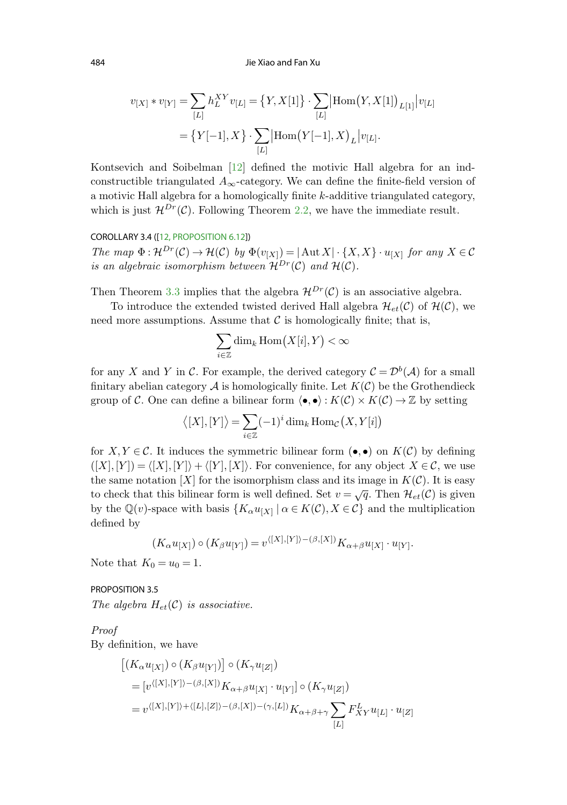484 Jie Xiao and Fan Xu

$$
v_{[X]} * v_{[Y]} = \sum_{[L]} h_L^{XY} v_{[L]} = \{Y, X[1]\} \cdot \sum_{[L]} |\text{Hom}(Y, X[1])_{L[1]} | v_{[L]}
$$

$$
= \{Y[-1], X\} \cdot \sum_{[L]} |\text{Hom}(Y[-1], X)_{L} | v_{[L]}.
$$

Kontsevich and Soibelman [\[12](#page-21-0)] defined the motivic Hall algebra for an indconstructible triangulated  $A_{\infty}$ -category. We can define the finite-field version of a motivic Hall algebra for a homologically finite k-additive triangulated category, which is just  $\mathcal{H}^{Dr}(\mathcal{C})$ . Following Theorem [2.2](#page-2-0), we have the immediate result.

## COROLLARY 3.4 ([\[12, PROPOSITION 6.12\]](#page-21-0))

The map  $\Phi: \mathcal{H}^{Dr}(\mathcal{C}) \to \mathcal{H}(\mathcal{C})$  by  $\Phi(v_{[X]}) = |\text{Aut } X| \cdot \{X, X\} \cdot u_{[X]}$  for any  $X \in \mathcal{C}$ is an algebraic isomorphism between  $\mathcal{H}^{Dr}(\mathcal{C})$  and  $\mathcal{H}(\mathcal{C})$ .

Then Theorem [3.3](#page-6-0) implies that the algebra  $\mathcal{H}^{Dr}(\mathcal{C})$  is an associative algebra.

To introduce the extended twisted derived Hall algebra  $\mathcal{H}_{et}(\mathcal{C})$  of  $\mathcal{H}(\mathcal{C})$ , we need more assumptions. Assume that  $\mathcal C$  is homologically finite; that is,

$$
\sum_{i\in\mathbb{Z}}\dim_k\operatorname{Hom}\bigl(X[i],Y\bigr)<\infty
$$

for any X and Y in C. For example, the derived category  $\mathcal{C} = \mathcal{D}^b(\mathcal{A})$  for a small finitary abelian category  $A$  is homologically finite. Let  $K(\mathcal{C})$  be the Grothendieck group of C. One can define a bilinear form  $\langle \bullet, \bullet \rangle : K(\mathcal{C}) \times K(\mathcal{C}) \to \mathbb{Z}$  by setting

$$
\langle [X],[Y]\rangle = \sum_{i\in\mathbb{Z}} (-1)^i \dim_k \operatorname{Hom}_{\mathcal{C}}(X,Y[i])
$$

for  $X, Y \in \mathcal{C}$ . It induces the symmetric bilinear form  $(\bullet, \bullet)$  on  $K(\mathcal{C})$  by defining  $([X], [Y]) = \langle [X], [Y] \rangle + \langle [Y], [X] \rangle$ . For convenience, for any object  $X \in \mathcal{C}$ , we use the same notation  $[X]$  for the isomorphism class and its image in  $K(\mathcal{C})$ . It is easy to check that this bilinear form is well defined. Set  $v = \sqrt{q}$ . Then  $\mathcal{H}_{et}(\mathcal{C})$  is given by the  $\mathbb{Q}(v)$ -space with basis  $\{K_\alpha u_{[X]} \mid \alpha \in K(\mathcal{C}), X \in \mathcal{C}\}\$  and the multiplication defined by

$$
(K_{\alpha}u_{[X]})\circ (K_{\beta}u_{[Y]})=v^{\langle [X],[Y]\rangle-(\beta,[X])}K_{\alpha+\beta}u_{[X]}\cdot u_{[Y]}.
$$

Note that  $K_0 = u_0 = 1$ .

PROPOSITION 3.5 The algebra  $H_{et}(\mathcal{C})$  is associative.

Proof

By definition, we have

$$
\begin{aligned} &\left[(K_\alpha u_{[X]})\circ (K_\beta u_{[Y]})\right]\circ (K_\gamma u_{[Z]})\\ &= [v^{\langle [X],[Y]\rangle - (\beta, [X])}K_{\alpha+\beta}u_{[X]}\cdot u_{[Y]}]\circ (K_\gamma u_{[Z]})\\ &= v^{\langle [X],[Y]\rangle + \langle [L],[Z]\rangle - (\beta, [X]) - (\gamma, [L])}K_{\alpha+\beta+\gamma}\sum_{[L]}F_{XY}^L u_{[L]}\cdot u_{[Z]} \end{aligned}
$$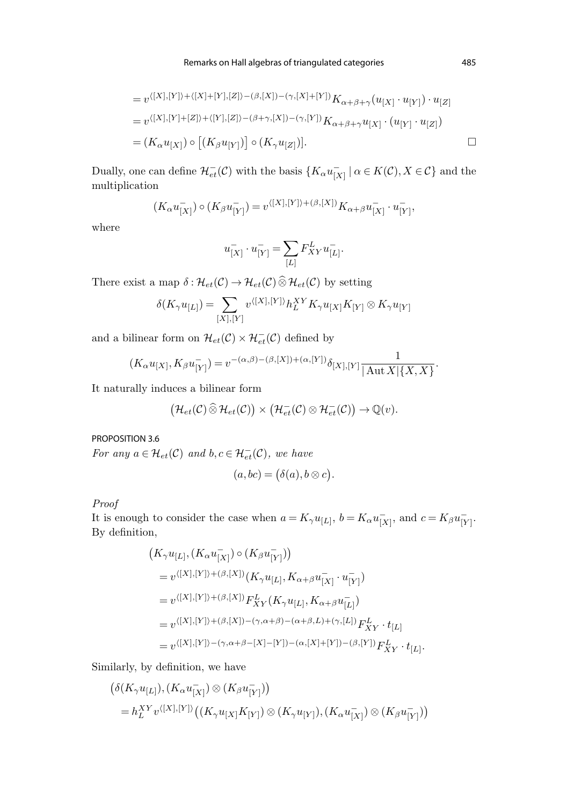Remarks on Hall algebras of triangulated categories 485

$$
= v^{\langle [X],[Y]\rangle + \langle [X]+[Y],[Z]\rangle - (\beta,[X]) - (\gamma,[X]+[Y])} K_{\alpha+\beta+\gamma}(u_{[X]} \cdot u_{[Y]}) \cdot u_{[Z]}
$$
  

$$
= v^{\langle [X],[Y]+[Z]\rangle + \langle [Y],[Z]\rangle - (\beta+\gamma,[X]) - (\gamma,[Y])} K_{\alpha+\beta+\gamma} u_{[X]} \cdot (u_{[Y]} \cdot u_{[Z]})
$$
  

$$
= (K_{\alpha}u_{[X]}) \circ [(K_{\beta}u_{[Y]})] \circ (K_{\gamma}u_{[Z]})].
$$

Dually, one can define  $\mathcal{H}^-_{et}(\mathcal{C})$  with the basis  $\{K_\alpha u_{[X]}^- \mid \alpha \in K(\mathcal{C}), X \in \mathcal{C}\}\$  and the multiplication

$$
(K_{\alpha}u_{[X]}^-) \circ (K_{\beta}u_{[Y]}^-) = v^{\langle [X],[Y]\rangle + (\beta, [X])} K_{\alpha+\beta}u_{[X]}^-\cdot u_{[Y]}^-,
$$

where

$$
u^-_{[X]}\cdot u^-_{[Y]}=\sum_{[L]}F^L_{XY}u^-_{[L]}.
$$

There exist a map  $\delta : \mathcal{H}_{et}(\mathcal{C}) \to \mathcal{H}_{et}(\mathcal{C}) \widehat{\otimes} \mathcal{H}_{et}(\mathcal{C})$  by setting

$$
\delta(K_{\gamma}u_{[L]})=\sum_{[X],[Y]}v^{\langle [X],[Y]\rangle}h_{L}^{XY}K_{\gamma}u_{[X]}K_{[Y]}\otimes K_{\gamma}u_{[Y]}
$$

and a bilinear form on  $\mathcal{H}_{et}(\mathcal{C}) \times \mathcal{H}_{et}^-(\mathcal{C})$  defined by

$$
(K_\alpha u_{[X]},K_\beta u_{[Y]}^-)=v^{-(\alpha,\beta)-(\beta,[X])+(\alpha,[Y])}\delta_{[X],[Y]}\frac{1}{|\operatorname{Aut} X|\{X,X\}}.
$$

It naturally induces a bilinear form

$$
\big(\mathcal{H}_{et}(\mathcal{C})\,\widehat{\otimes}\,\mathcal{H}_{et}(\mathcal{C})\big)\times\big(\mathcal{H}_{et}^-(\mathcal{C})\otimes\mathcal{H}_{et}^-(\mathcal{C})\big)\rightarrow\mathbb{Q}(v).
$$

PROPOSITION 3.6

For any  $a \in \mathcal{H}_{et}(\mathcal{C})$  and  $b, c \in \mathcal{H}_{et}(\mathcal{C})$ , we have

$$
(a,bc) = (\delta(a), b \otimes c).
$$

Proof

It is enough to consider the case when  $a = K_{\gamma}u_{[L]}, b = K_{\alpha}u_{[X]}^-,$  and  $c = K_{\beta}u_{[Y]}^-.$ By definition,

$$
\begin{aligned} & \left( K_{\gamma} u_{[L]}, (K_{\alpha} u_{[X]}^{-}) \circ (K_{\beta} u_{[Y]}^{-}) \right) \\ & = v^{\langle [X],[Y]\rangle + (\beta, [X])} (K_{\gamma} u_{[L]}, K_{\alpha+\beta} u_{[X]}^{-} \cdot u_{[Y]}^{-}) \\ & = v^{\langle [X],[Y]\rangle + (\beta, [X])} F_{XY}^{L} (K_{\gamma} u_{[L]}, K_{\alpha+\beta} u_{[L]}^{-}) \\ & = v^{\langle [X],[Y]\rangle + (\beta, [X]) - (\gamma, \alpha+\beta) - (\alpha+\beta, L) + (\gamma, [L])} F_{XY}^{L} \cdot t_{[L]} \\ & = v^{\langle [X],[Y]\rangle - (\gamma, \alpha+\beta-[X]-[Y]) - (\alpha, [X]+[Y]) - (\beta, [Y])} F_{XY}^{L} \cdot t_{[L]} . \end{aligned}
$$

Similarly, by definition, we have

$$
\begin{aligned} & \left( \delta(K_\gamma u_{[L]}), (K_\alpha u_{[X]}^-) \otimes (K_\beta u_{[Y]}^-) \right) \\ &= h_L^{XY} v^{\langle [X],[Y]\rangle} \left( (K_\gamma u_{[X]} K_{[Y]}) \otimes (K_\gamma u_{[Y]}^-), (K_\alpha u_{[X]}^-) \otimes (K_\beta u_{[Y]}^-) \right) \end{aligned}
$$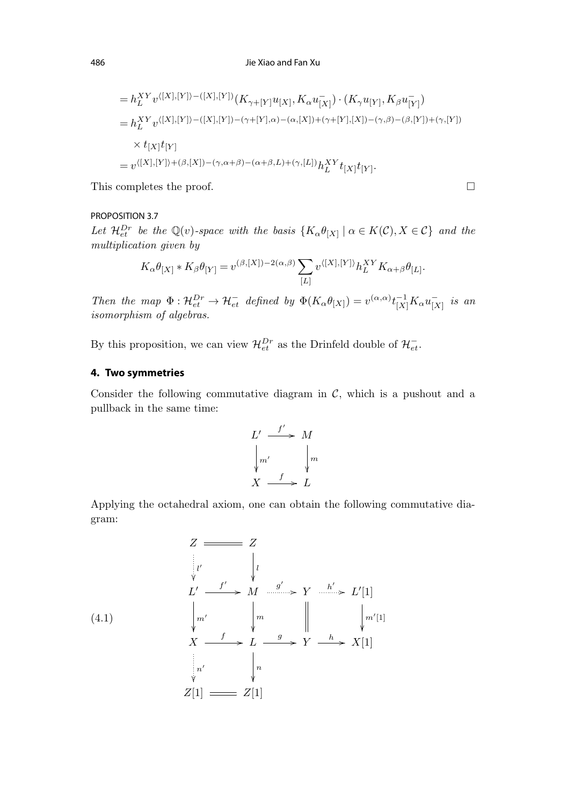<span id="page-9-0"></span>
$$
= h_L^{XY} v^{\langle [X],[Y]\rangle - ([X],[Y])} (K_{\gamma+[Y]} u_{[X]}, K_\alpha u_{[X]}^-) \cdot (K_\gamma u_{[Y]}, K_\beta u_{[Y]}^-)
$$
  
\n
$$
= h_L^{XY} v^{\langle [X],[Y]\rangle - ([X],[Y]) - (\gamma+[Y],\alpha) - (\alpha,[X]) + (\gamma+[Y],[X]) - (\gamma,\beta) - (\beta,[Y]) + (\gamma,[Y])}
$$
  
\n
$$
\times t_{[X]} t_{[Y]}
$$
  
\n
$$
= v^{\langle [X],[Y]\rangle + (\beta,[X]) - (\gamma,\alpha+\beta) - (\alpha+\beta,L) + (\gamma,[L])} h_L^{XY} t_{[X]} t_{[Y]}.
$$

 $\Box$ 

This completes the proof.

# PROPOSITION 3.7

Let  $\mathcal{H}_{et}^{Dr}$  be the  $\mathbb{Q}(v)$ -space with the basis  $\{K_{\alpha} \theta_{[X]}\mid \alpha \in K(\mathcal{C}), X \in \mathcal{C}\}\$  and the multiplication given by

$$
K_{\alpha}\theta_{[X]}*K_{\beta}\theta_{[Y]}=v^{(\beta,[X])-2(\alpha,\beta)}\sum_{[L]}v^{\langle [X],[Y]\rangle}h_L^{XY}K_{\alpha+\beta}\theta_{[L]}.
$$

Then the map  $\Phi: \mathcal{H}_{et}^{Dr} \to \mathcal{H}_{et}^{-}$  defined by  $\Phi(K_{\alpha}\theta_{[X]}) = v^{(\alpha,\alpha)}t_{[X]}^{-1}K_{\alpha}u_{[X]}^{-}$  is an isomorphism of algebras.

By this proposition, we can view  $\mathcal{H}^{Dr}_{et}$  as the Drinfeld double of  $\mathcal{H}^-_{et}$ .

# **4. Two symmetries**

Consider the following commutative diagram in  $C$ , which is a pushout and a pullback in the same time:

$$
L' \xrightarrow{f'} M
$$
  
\n
$$
\downarrow m' \qquad \downarrow m
$$
  
\n
$$
X \xrightarrow{f} L
$$

Applying the octahedral axiom, one can obtain the following commutative diagram:

$$
Z \longrightarrow Z
$$
\n
$$
\downarrow l'
$$
\n
$$
L'
$$
\n
$$
\downarrow l'
$$
\n
$$
L'
$$
\n
$$
\downarrow l'
$$
\n
$$
M \longrightarrow M'
$$
\n
$$
Y \longrightarrow L'
$$
\n
$$
L'
$$
\n
$$
X \longrightarrow L \longrightarrow Y \longrightarrow X[1]
$$
\n
$$
\downarrow l'
$$
\n
$$
Z[1] \longrightarrow Z[1]
$$
\n
$$
Z[1] \longrightarrow Z[1]
$$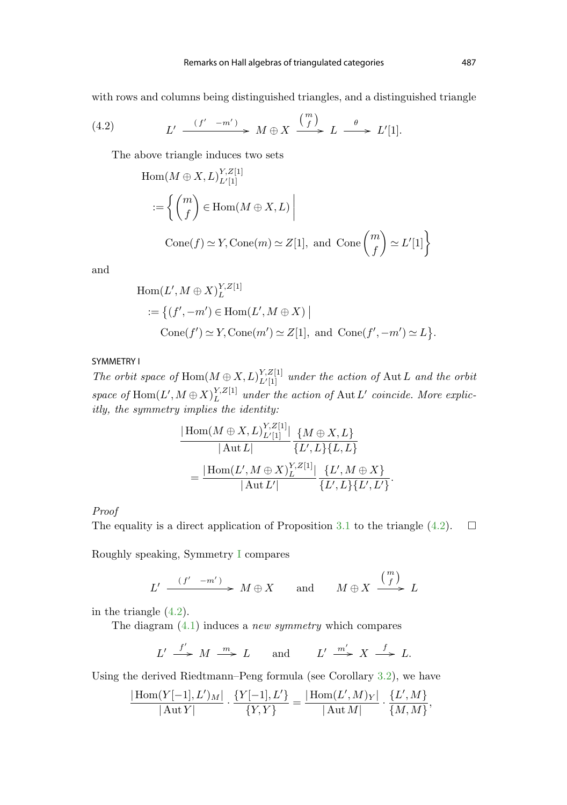<span id="page-10-0"></span>with rows and columns being distinguished triangles, and a distinguished triangle

(4.2) 
$$
L' \xrightarrow{(f' - m')} M \oplus X \xrightarrow{\binom{m}{f}} L \xrightarrow{\theta} L'[1].
$$

The above triangle induces two sets

$$
\begin{aligned} \text{Hom}(M \oplus X, L)_{L'[1]}^{Y, Z[1]} \\ &:= \left\{ \binom{m}{f} \in \text{Hom}(M \oplus X, L) \, \middle| \, \right. \\ \text{Cone}(f) &\simeq Y, \text{Cone}(m) \simeq Z[1], \text{ and } \text{Cone}\left(\frac{m}{f}\right) \simeq L'[1] \right\} \end{aligned}
$$

and

Hom
$$
(L', M \oplus X)^{Y, Z[1]}_{L}
$$
  
 := { $(f', -m') \in \text{Hom}(L', M \oplus X)$   
 Cone $(f') \simeq Y$ , Cone $(m') \simeq Z[1]$ , and Cone $(f', -m') \simeq L$  }.

# SYMMETRY I

The orbit space of  $\text{Hom}(M \oplus X, L)_{L/[1]}^{Y, Z[1]}$  $\mathbb{E}^{I,Z[1]}_{L'[1]}$  under the action of  $\mathrm{Aut}\,L$  and the orbit space of  $\text{Hom}(L',M\oplus X)^{Y,Z[1]}_{L}$  under the action of  $\text{Aut }L'$  coincide. More explicitly, the symmetry implies the identity:

$$
\frac{|\text{Hom}(M \oplus X, L)_{L'[1]}^{Y,Z[1]}|}{|\text{Aut } L|} \frac{\{M \oplus X, L\}}{\{L', L\}\{L, L\}} \\
= \frac{|\text{Hom}(L', M \oplus X)_{L}^{Y,Z[1]}|}{|\text{Aut } L'|} \frac{\{L', M \oplus X\}}{\{L', L\}\{L', L'\}}.
$$

### Proof

The equality is a direct application of Proposition [3.1](#page-4-0) to the triangle (4.2).  $\Box$ 

Roughly speaking, Symmetry I compares

$$
L' \xrightarrow{(f' - m')} M \oplus X \quad \text{and} \quad M \oplus X \xrightarrow{\binom{m}{f}} L
$$

in the triangle (4.2).

The diagram  $(4.1)$  induces a *new symmetry* which compares

$$
L' \stackrel{f'}{\longrightarrow} M \stackrel{m}{\longrightarrow} L \quad \text{and} \quad L' \stackrel{m'}{\longrightarrow} X \stackrel{f}{\longrightarrow} L.
$$

Using the derived Riedtmann–Peng formula (see Corollary [3.2](#page-5-0)), we have

$$
\frac{|\text{Hom}(Y[-1], L')_M|}{|\text{Aut} Y|} \cdot \frac{\{Y[-1], L'\}}{\{Y, Y\}} = \frac{|\text{Hom}(L', M)_Y|}{|\text{Aut} M|} \cdot \frac{\{L', M\}}{\{M, M\}},
$$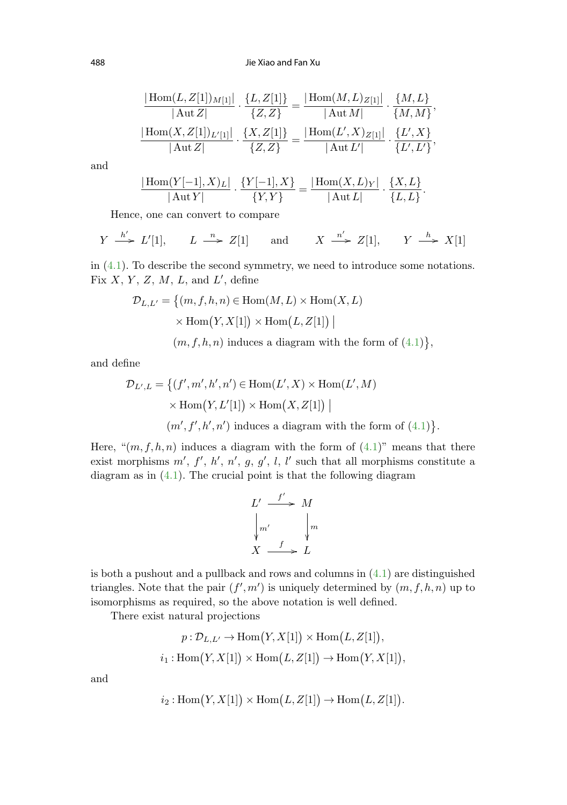488 Jie Xiao and Fan Xu

$$
\frac{|\text{Hom}(L, Z[1])_{M[1]}|}{|\text{Aut }Z|} \cdot \frac{\{L, Z[1]\}}{\{Z, Z\}} = \frac{|\text{Hom}(M, L)_{Z[1]}|}{|\text{Aut }M|} \cdot \frac{\{M, L\}}{\{M, M\}},
$$
  

$$
\frac{|\text{Hom}(X, Z[1])_{L'[1]}|}{|\text{Aut }Z|} \cdot \frac{\{X, Z[1]\}}{\{Z, Z\}} = \frac{|\text{Hom}(L', X)_{Z[1]}|}{|\text{Aut }L'|} \cdot \frac{\{L', X\}}{\{L', L'\}},
$$

and

$$
\frac{|\text{Hom}(Y[-1],X)_L|}{|\text{Aut}Y|} \cdot \frac{\{Y[-1],X\}}{\{Y,Y\}} = \frac{|\text{Hom}(X,L)_Y|}{|\text{Aut} L|} \cdot \frac{\{X,L\}}{\{L,L\}}.
$$

Hence, one can convert to compare

$$
Y \xrightarrow{h'} L'[1], \qquad L \xrightarrow{n} Z[1] \qquad \text{and} \qquad X \xrightarrow{n'} Z[1], \qquad Y \xrightarrow{h} X[1]
$$

in [\(4.1\)](#page-9-0). To describe the second symmetry, we need to introduce some notations. Fix  $X, Y, Z, M, L$ , and  $L'$ , define

$$
\mathcal{D}_{L,L'} = \{(m, f, h, n) \in \text{Hom}(M, L) \times \text{Hom}(X, L) \times \text{Hom}(Y, X[1]) \times \text{Hom}(L, Z[1]) \mid
$$

 $(m, f, h, n)$  induces a diagram with the form of  $(4.1)$ ,

and define

$$
\mathcal{D}_{L',L} = \left\{ (f', m', h', n') \in \text{Hom}(L', X) \times \text{Hom}(L', M) \right\}
$$

$$
\times \text{Hom}(Y, L'[1]) \times \text{Hom}(X, Z[1]) \mid
$$

$$
(m', f', h', n') \text{ induces a diagram with the form of (4.1)}.
$$

Here, " $(m, f, h, n)$  induces a diagram with the form of  $(4.1)$ " means that there exist morphisms  $m', f', h', n', g, g', l, l'$  such that all morphisms constitute a diagram as in  $(4.1)$  $(4.1)$  $(4.1)$ . The crucial point is that the following diagram

$$
L' \xrightarrow{f'} M
$$
  
\n
$$
\downarrow m' \qquad \downarrow m
$$
  
\n
$$
X \xrightarrow{f} L
$$

is both a pushout and a pullback and rows and columns in ([4.1](#page-9-0)) are distinguished triangles. Note that the pair  $(f', m')$  is uniquely determined by  $(m, f, h, n)$  up to isomorphisms as required, so the above notation is well defined.

There exist natural projections

$$
p: \mathcal{D}_{L,L'} \to \text{Hom}(Y, X[1]) \times \text{Hom}(L, Z[1]),
$$
  

$$
i_1: \text{Hom}(Y, X[1]) \times \text{Hom}(L, Z[1]) \to \text{Hom}(Y, X[1]),
$$

and

$$
i_2: \mathrm{Hom}(Y, X[1]) \times \mathrm{Hom}(L, Z[1]) \to \mathrm{Hom}(L, Z[1]).
$$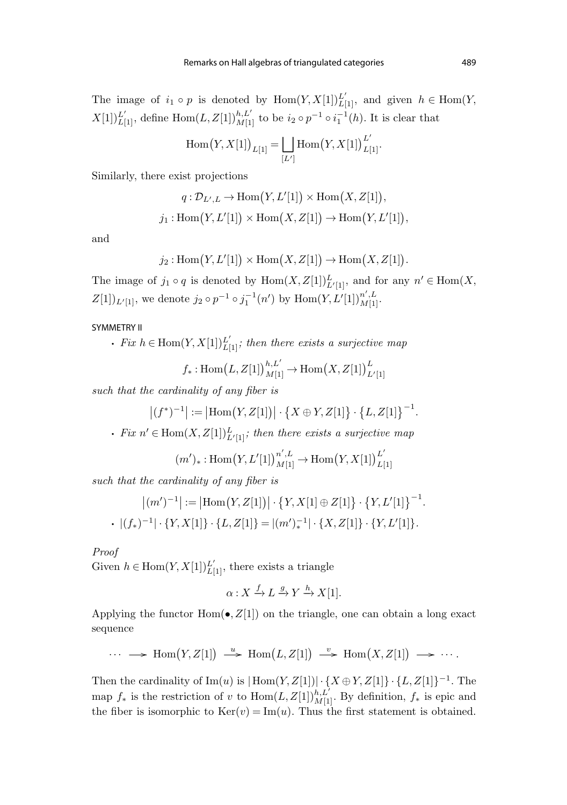<span id="page-12-0"></span>The image of  $i_1 \circ p$  is denoted by  $Hom(Y, X[1])_{L[1]}^{L'}$ , and given  $h \in Hom(Y, X[1])$  $X[1]_{L[1]}^{L'}$ , define  $\text{Hom}(L, Z[1])_{M[1]}^{h, L'}$  to be  $i_2 \circ p^{-1} \circ i_1^{-1}(h)$ . It is clear that

$$
\operatorname{Hom}(Y, X[1])_{L[1]} = \bigsqcup_{[L']} \operatorname{Hom}(Y, X[1])_{L[1]}^{L'}.
$$

Similarly, there exist projections

$$
q: \mathcal{D}_{L',L} \to \text{Hom}(Y, L'[1]) \times \text{Hom}(X, Z[1]),
$$
  

$$
j_1: \text{Hom}(Y, L'[1]) \times \text{Hom}(X, Z[1]) \to \text{Hom}(Y, L'[1]),
$$

and

$$
j_2
$$
: Hom $(Y, L'[1]) \times \text{Hom}(X, Z[1]) \to \text{Hom}(X, Z[1]).$ 

The image of  $j_1 \circ q$  is denoted by  $\text{Hom}(X, Z[1])_{L'[1]}^L$ , and for any  $n' \in \text{Hom}(X, Z[1])$  $Z[1])_{L'[1]}$ , we denote  $j_2 \circ p^{-1} \circ j_1^{-1}(n')$  by  $\text{Hom}(Y, L'[1])_{M[1]}^{n', L}.$ 

### SYMMETRY II

• Fix  $h \in \text{Hom}(Y, X[1])_{L[1]}^{L'}$ ; then there exists a surjective map

$$
f_*: \mathrm{Hom}\left(L, Z[1]\right)^{h, L'}_{M[1]} \to \mathrm{Hom}\left(X, Z[1]\right)^{L}_{L'[1]}
$$

such that the cardinality of any fiber is

$$
\left| (f^*)^{-1} \right| := \left| \mathrm{Hom}\big(Y, Z[1]\big) \right| \cdot \left\{ X \oplus Y, Z[1] \right\} \cdot \left\{ L, Z[1] \right\}^{-1}.
$$

• Fix  $n' \in \text{Hom}(X, Z[1])_{L'[1]}^L$ ; then there exists a surjective map

$$
(m')_* : \text{Hom}(Y, L'[1])^{n', L}_{M[1]} \to \text{Hom}(Y, X[1])^{L'}_{L[1]}
$$

such that the cardinality of any fiber is

$$
|(m')^{-1}| := |\text{Hom}(Y, Z[1])| \cdot \{Y, X[1] \oplus Z[1]\} \cdot \{Y, L'[1]\}^{-1}.
$$

$$
\cdot |(f_*)^{-1}| \cdot \{Y, X[1]\} \cdot \{L, Z[1]\} = |(m')_*^{-1}| \cdot \{X, Z[1]\} \cdot \{Y, L'[1]\}.
$$

### Proof

Given  $h \in \text{Hom}(Y, X[1])_{L[1]}^{L'}$ , there exists a triangle

$$
\alpha: X \xrightarrow{f} L \xrightarrow{g} Y \xrightarrow{h} X[1].
$$

Applying the functor  $Hom(\bullet, Z[1])$  on the triangle, one can obtain a long exact sequence

$$
\cdots \longrightarrow \text{Hom}(Y, Z[1]) \stackrel{u}{\longrightarrow} \text{Hom}(L, Z[1]) \stackrel{v}{\longrightarrow} \text{Hom}(X, Z[1]) \longrightarrow \cdots.
$$

Then the cardinality of Im(u) is  $|\text{Hom}(Y, Z[1])| \cdot {X \oplus Y, Z[1]} \cdot {L, Z[1]}^{-1}$ . The map  $f_*$  is the restriction of v to  $\text{Hom}(L, Z[1])_{M[1]}^{h, L'}$ . By definition,  $f_*$  is epic and the fiber is isomorphic to  $Ker(v) = Im(u)$ . Thus the first statement is obtained.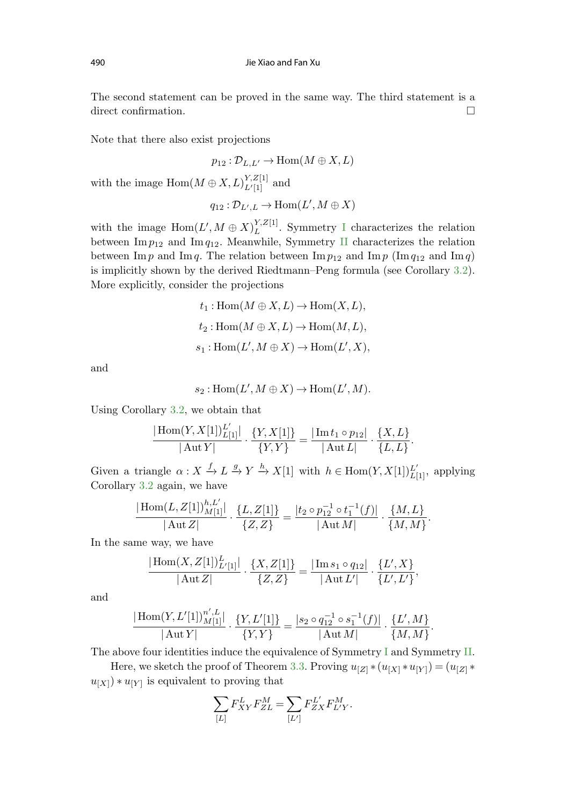The second statement can be proved in the same way. The third statement is a direct confirmation.  $\Box$ 

Note that there also exist projections

$$
p_{12} : \mathcal{D}_{L,L'} \to \text{Hom}(M \oplus X, L)
$$

with the image  $\text{Hom}(M \oplus X, L)_{L'[\![1]\!]}^{Y, Z[\![1]\!]}$  $L'[1]$  and

$$
q_{12}:\mathcal{D}_{L',L}\to\operatorname{Hom}(L',M\oplus X)
$$

with the image  $\text{Hom}(L',M\oplus X)^{Y,Z[1]}_L$ . Symmetry [I](#page-10-0) characterizes the relation between  $\text{Im } p_{12}$  and  $\text{Im } q_{12}$ . Meanwhile, Symmetry [II](#page-12-0) characterizes the relation between Im p and Im q. The relation between Im  $p_{12}$  and Im p (Im  $q_{12}$  and Im q) is implicitly shown by the derived Riedtmann–Peng formula (see Corollary [3.2](#page-5-0)). More explicitly, consider the projections

$$
t_1: \text{Hom}(M \oplus X, L) \to \text{Hom}(X, L),
$$
  

$$
t_2: \text{Hom}(M \oplus X, L) \to \text{Hom}(M, L),
$$
  

$$
s_1: \text{Hom}(L', M \oplus X) \to \text{Hom}(L', X),
$$

and

$$
s_2: \mathrm{Hom}(L', M \oplus X) \to \mathrm{Hom}(L', M).
$$

Using Corollary [3.2,](#page-5-0) we obtain that

$$
\frac{|\operatorname{Hom}(Y,X[1])_{L[1]}^{L'}}{|\operatorname{Aut} Y|} \cdot \frac{\{Y,X[1]\}}{\{Y,Y\}} = \frac{|\operatorname{Im} t_1 \circ p_{12}|}{|\operatorname{Aut} L|} \cdot \frac{\{X,L\}}{\{L,L\}}.
$$

Given a triangle  $\alpha: X \xrightarrow{f} L \xrightarrow{g} Y \xrightarrow{h} X[1]$  with  $h \in \text{Hom}(Y, X[1])_{L[1]}^{L'}$ , applying Corollary [3.2](#page-5-0) again, we have

$$
\frac{|\operatorname{Hom}(L,Z[1])^{h,{L'}}_{M[1]}|}{|\operatorname{Aut} Z|} \cdot \frac{\{L,Z[1]\}}{\{Z,Z\}} = \frac{|t_2 \circ p_{12}^{-1} \circ t_1^{-1}(f)|}{|\operatorname{Aut} M|} \cdot \frac{\{M,L\}}{\{M,M\}}.
$$

In the same way, we have

$$
\frac{|\text{Hom}(X,Z[1])_{L'[1]}^L|}{|\text{Aut }Z|} \cdot \frac{\{X,Z[1]\}}{\{Z,Z\}} = \frac{|\text{Im }s_1 \circ q_{12}|}{|\text{Aut }L'|} \cdot \frac{\{L',X\}}{\{L',L'\}},
$$

and

$$
\frac{|\operatorname{Hom}(Y, L'[1])_{M[1]}^{n', L}|}{|\operatorname{Aut} Y|} \cdot \frac{\{Y, L'[1]\}}{\{Y, Y\}} = \frac{|s_2 \circ q_{12}^{-1} \circ s_1^{-1}(f)|}{|\operatorname{Aut} M|} \cdot \frac{\{L', M\}}{\{M, M\}}.
$$

The above four identities induce the equivalence of Symmetry [I](#page-10-0) and Symmetry [II](#page-12-0).

Here, we sketch the proof of Theorem [3.3](#page-6-0). Proving  $u_{[Z]}*(u_{[X]}*u_{[Y]})=(u_{[Z]}*$  $u_{[X]}) * u_{[Y]}$  is equivalent to proving that

$$
\sum_{[L]}F_{XY}^LF_{ZL}^M=\sum_{[L']}F_{ZX}^{L'}F_{L'Y}^M.
$$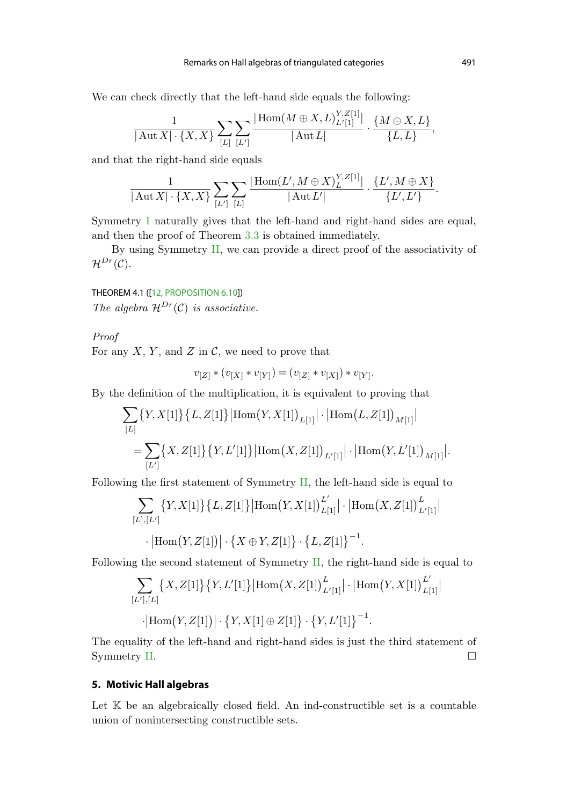<span id="page-14-0"></span>We can check directly that the left-hand side equals the following:

$$
\frac{1}{|\operatorname{Aut} X| \cdot \{X, X\}} \sum_{[L]} \sum_{[L']} \frac{|\operatorname{Hom} (M \oplus X, L)^{Y, Z[1]}_{L'[1]}}{|\operatorname{Aut} L|} \cdot \frac{\{M \oplus X, L\}}{\{L, L\}},
$$

and that the right-hand side equals

$$
\frac{1}{|\operatorname{Aut} X| \cdot \{X, X\}} \sum_{[L']} \sum_{[L]} \frac{|\operatorname{Hom}(L', M \oplus X)^{Y, Z[1]}_L}{|\operatorname{Aut} L'|} \cdot \frac{\{L', M \oplus X\}}{\{L', L'\}}.
$$

Symmetry [I](#page-10-0) naturally gives that the left-hand and right-hand sides are equal, and then the proof of Theorem [3.3](#page-6-0) is obtained immediately.

By using Symmetry [II,](#page-12-0) we can provide a direct proof of the associativity of  $\mathcal{H}^{Dr}(\mathcal{C}).$ 

# THEOREM 4.1 ([\[12, PROPOSITION 6.10](#page-21-0)])

The algebra  $\mathcal{H}^{Dr}(\mathcal{C})$  is associative.

# Proof

For any X, Y, and Z in  $\mathcal{C}$ , we need to prove that

$$
v_{[Z]} * (v_{[X]} * v_{[Y]}) = (v_{[Z]} * v_{[X]}) * v_{[Y]}.
$$

By the definition of the multiplication, it is equivalent to proving that

$$
\sum_{[L]} \{Y, X[1]\} \{L, Z[1]\} |\text{Hom}(Y, X[1])_{L[1]}| \cdot |\text{Hom}(L, Z[1])_{M[1]}|
$$
  
= 
$$
\sum_{[L']} \{X, Z[1]\} \{Y, L'[1]\} |\text{Hom}(X, Z[1])_{L'[1]}| \cdot |\text{Hom}(Y, L'[1])_{M[1]}|.
$$

Following the first statement of Symmetry [II,](#page-12-0) the left-hand side is equal to

$$
\sum_{[L],[L']} \{Y, X[1]\} \{L, Z[1]\} \left| \text{Hom}(Y, X[1])_{L[1]}^{L'} \right| \cdot \left| \text{Hom}(X, Z[1])_{L'[1]}^{L'} \right|
$$

$$
\cdot \left| \text{Hom}(Y, Z[1]) \right| \cdot \{X \oplus Y, Z[1]\} \cdot \{L, Z[1]\}^{-1}.
$$

Following the second statement of Symmetry [II](#page-12-0), the right-hand side is equal to

$$
\sum_{[L'],[L]}\left\{X,Z[1]\right\}\left\{Y,L'[1]\right\}\left|\mathrm{Hom}\left(X,Z[1]\right)^{L}_{L'[1]}\right|\cdot\left|\mathrm{Hom}\left(Y,X[1]\right)^{L'}_{L[1]}\right|
$$

$$
\cdot \big|\mathrm{Hom}\big(Y,Z[1]\big)\big| \cdot \big\{Y,X[1]\oplus Z[1]\big\} \cdot \big\{Y,L'[1]\big\}^{-1}.
$$

The equality of the left-hand and right-hand sides is just the third statement of Symmetry [II.](#page-12-0)  $\Box$ 

## **5. Motivic Hall algebras**

Let  $K$  be an algebraically closed field. An ind-constructible set is a countable union of nonintersecting constructible sets.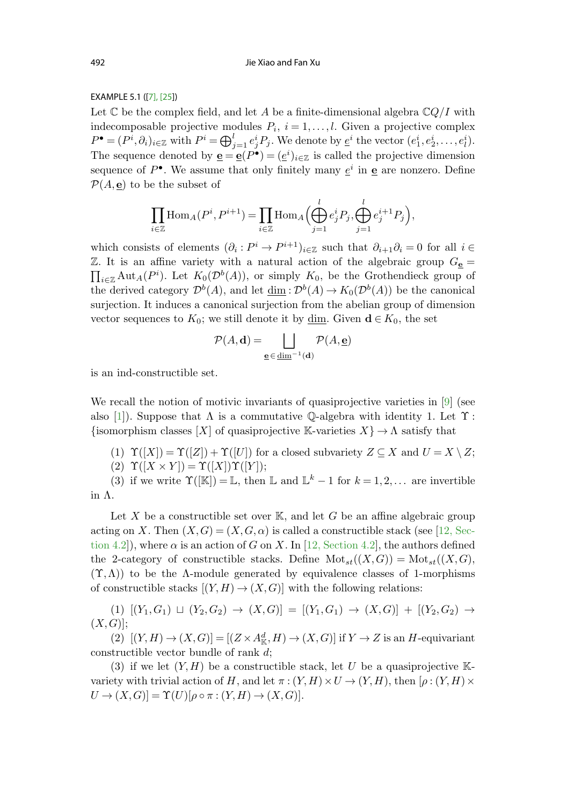## EXAMPLE 5.1 ([\[7\]](#page-21-0), [\[25\]](#page-22-0))

Let  $\mathbb C$  be the complex field, and let A be a finite-dimensional algebra  $\mathbb CQ/I$  with indecomposable projective modules  $P_i$ ,  $i = 1, \ldots, l$ . Given a projective complex  $P^{\bullet} = (P^i, \partial_i)_{i \in \mathbb{Z}}$  with  $P^i = \bigoplus_{j=1}^l e_j^i P_j$ . We denote by  $\underline{e}^i$  the vector  $(e_1^i, e_2^i, \ldots, e_l^i)$ . The sequence denoted by  $\underline{\mathbf{e}} = \underline{\mathbf{e}}(P^{\bullet}) = (\underline{e}^{i})_{i \in \mathbb{Z}}$  is called the projective dimension sequence of  $P^{\bullet}$ . We assume that only finitely many  $e^{i}$  in **e** are nonzero. Define  $\mathcal{P}(A, \underline{\mathbf{e}})$  to be the subset of

$$
\prod_{i\in\mathbb{Z}}\text{Hom}_A(P^i, P^{i+1}) = \prod_{i\in\mathbb{Z}}\text{Hom}_A\Big(\bigoplus_{j=1}^l e_j^i P_j, \bigoplus_{j=1}^l e_j^{i+1} P_j\Big),\,
$$

which consists of elements  $(\partial_i : P^i \to P^{i+1})_{i \in \mathbb{Z}}$  such that  $\partial_{i+1}\partial_i = 0$  for all  $i \in$ Z. It is an affine variety with a natural action of the algebraic group  $G_{\underline{\mathbf{e}}} =$  $\prod_{i\in\mathbb{Z}}\text{Aut}_A(P^i)$ . Let  $K_0(\mathcal{D}^b(A))$ , or simply  $K_0$ , be the Grothendieck group of the derived category  $\mathcal{D}^b(A)$ , and let  $\underline{\dim}: \mathcal{D}^b(A) \to K_0(\mathcal{D}^b(A))$  be the canonical surjection. It induces a canonical surjection from the abelian group of dimension vector sequences to  $K_0$ ; we still denote it by <u>dim</u>. Given **d** ∈  $K_0$ , the set

$$
\mathcal{P}(A, \mathbf{d}) = \bigsqcup_{\mathbf{e} \in \underline{\text{dim}}^{-1}(\mathbf{d})} \mathcal{P}(A, \mathbf{e})
$$

is an ind-constructible set.

We recall the notion of motivic invariants of quasiprojective varieties in [\[9](#page-21-0)] (see also [[1\]](#page-21-0)). Suppose that  $\Lambda$  is a commutative Q-algebra with identity 1. Let  $\Upsilon$ : {isomorphism classes  $[X]$  of quasiprojective K-varieties  $X$ }  $\rightarrow \Lambda$  satisfy that

- (1)  $\Upsilon([X]) = \Upsilon([Z]) + \Upsilon([U])$  for a closed subvariety  $Z \subseteq X$  and  $U = X \setminus Z$ ;
- (2)  $\Upsilon([X \times Y]) = \Upsilon([X]) \Upsilon([Y]);$

(3) if we write  $\Upsilon([\mathbb{K}]) = \mathbb{L}$ , then  $\mathbb{L}$  and  $\mathbb{L}^k - 1$  for  $k = 1, 2, \dots$  are invertible in Λ.

Let X be a constructible set over  $\mathbb{K}$ , and let G be an affine algebraic group acting on X. Then  $(X, G) = (X, G, \alpha)$  is called a constructible stack (see [12, Section 4.2]), where  $\alpha$  is an action of G on X. In [[12, Section 4.2\]](#page-21-0), the authors defined the 2-category of constructible stacks. Define  $\text{Mot}_{st}((X,G)) = \text{Mot}_{st}((X,G),$  $(\Upsilon,\Lambda)$ ) to be the  $\Lambda$ -module generated by equivalence classes of 1-morphisms of constructible stacks  $[(Y, H) \to (X, G)]$  with the following relations:

 $(1)$   $[(Y_1, G_1) \sqcup (Y_2, G_2) \rightarrow (X, G)] = [(Y_1, G_1) \rightarrow (X, G)] + [(Y_2, G_2) \rightarrow$  $(X,G)$ ];

(2)  $[(Y, H) \to (X, G)] = [(Z \times A_{\mathbb{K}}^d, H) \to (X, G)]$  if  $Y \to Z$  is an H-equivariant constructible vector bundle of rank d;

(3) if we let  $(Y, H)$  be a constructible stack, let U be a quasiprojective Kvariety with trivial action of H, and let  $\pi$  :  $(Y, H) \times U \rightarrow (Y, H)$ , then  $[\rho : (Y, H) \times$  $U \rightarrow (X,G) = \Upsilon(U)[\rho \circ \pi : (Y,H) \rightarrow (X,G)].$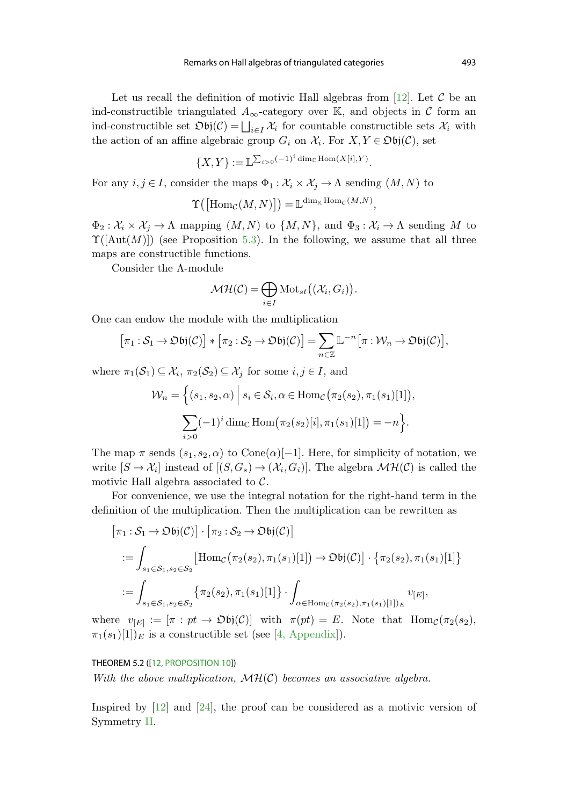Let us recall the definition of motivic Hall algebras from [[12\]](#page-21-0). Let  $\mathcal C$  be an ind-constructible triangulated  $A_{\infty}$ -category over K, and objects in C form an ind-constructible set  $\mathfrak{D}$ **b**j $(C) = \bigsqcup_{i \in I} \mathcal{X}_i$  for countable constructible sets  $\mathcal{X}_i$  with the action of an affine algebraic group  $G_i$  on  $\mathcal{X}_i$ . For  $X, Y \in \mathfrak{Ob}(\mathcal{C})$ , set

$$
\{X,Y\} := \mathbb{L}^{\sum_{i>0} (-1)^i \dim_{\mathbb{C}} \text{Hom}(X[i],Y)}.
$$

For any  $i, j \in I$ , consider the maps  $\Phi_1 : \mathcal{X}_i \times \mathcal{X}_j \to \Lambda$  sending  $(M, N)$  to

$$
\Upsilon\big(\big[\mathrm{Hom}_{\mathcal{C}}(M,N)\big]\big) = \mathbb{L}^{\dim_{\mathbb{K}} \mathrm{Hom}_{\mathcal{C}}(M,N)},
$$

 $\Phi_2: \mathcal{X}_i \times \mathcal{X}_j \to \Lambda$  mapping  $(M, N)$  to  $\{M, N\}$ , and  $\Phi_3: \mathcal{X}_i \to \Lambda$  sending M to  $\Upsilon(\text{Aut}(M)))$  (see Proposition [5.3](#page-18-0)). In the following, we assume that all three maps are constructible functions.

Consider the Λ-module

$$
\mathcal{MH}(\mathcal{C}) = \bigoplus_{i \in I} \text{Mot}_{st}((\mathcal{X}_i, G_i)).
$$

One can endow the module with the multiplication

$$
[\pi_1 : S_1 \to \mathfrak{Obj}(\mathcal{C})] * [\pi_2 : S_2 \to \mathfrak{Obj}(\mathcal{C})] = \sum_{n \in \mathbb{Z}} \mathbb{L}^{-n} [\pi : \mathcal{W}_n \to \mathfrak{Obj}(\mathcal{C})],
$$

where  $\pi_1(\mathcal{S}_1) \subseteq \mathcal{X}_i$ ,  $\pi_2(\mathcal{S}_2) \subseteq \mathcal{X}_j$  for some  $i, j \in I$ , and

$$
\mathcal{W}_n = \left\{ (s_1, s_2, \alpha) \mid s_i \in \mathcal{S}_i, \alpha \in \text{Hom}_{\mathcal{C}}(\pi_2(s_2), \pi_1(s_1)[1]), \right\}
$$

$$
\sum_{i>0} (-1)^i \dim_{\mathbb{C}} \text{Hom}(\pi_2(s_2)[i], \pi_1(s_1)[1]) = -n \right\}.
$$

The map  $\pi$  sends  $(s_1, s_2, \alpha)$  to Cone $(\alpha)$ [−1]. Here, for simplicity of notation, we write  $[S \to \mathcal{X}_i]$  instead of  $[(S, G_s) \to (\mathcal{X}_i, G_i)]$ . The algebra  $\mathcal{MH}(\mathcal{C})$  is called the motivic Hall algebra associated to  $C$ .

For convenience, we use the integral notation for the right-hand term in the definition of the multiplication. Then the multiplication can be rewritten as

$$
\begin{aligned}\n\left[\pi_1: \mathcal{S}_1 \to \mathfrak{Ob}j(\mathcal{C})\right] \cdot \left[\pi_2: \mathcal{S}_2 \to \mathfrak{Ob}j(\mathcal{C})\right] \\
&:= \int_{s_1 \in \mathcal{S}_1, s_2 \in \mathcal{S}_2} \left[ \text{Hom}_{\mathcal{C}}\big(\pi_2(s_2), \pi_1(s_1)[1]\big) \to \mathfrak{Ob}j(\mathcal{C})\right] \cdot \left\{\pi_2(s_2), \pi_1(s_1)[1]\right\} \\
&:= \int_{s_1 \in \mathcal{S}_1, s_2 \in \mathcal{S}_2} \left\{\pi_2(s_2), \pi_1(s_1)[1]\right\} \cdot \int_{\alpha \in \text{Hom}_{\mathcal{C}}\big(\pi_2(s_2), \pi_1(s_1)[1]\big)_{E}} v_{[E]},\n\end{aligned}
$$

where  $v_{[E]} := [\pi : pt \to \mathfrak{Ob}(\mathcal{C})]$  with  $\pi(pt) = E$ . Note that  $\text{Hom}_{\mathcal{C}}(\pi_2(s_2))$ ,  $\pi_1(s_1)[1]_E$  is a constructible set (see [[4, Appendix\]](#page-21-0)).

### THEOREM 5.2 ([\[12, PROPOSITION 10\]](#page-21-0))

With the above multiplication,  $\mathcal{MH}(\mathcal{C})$  becomes an associative algebra.

Inspired by [\[12](#page-21-0)] and [\[24](#page-22-0)], the proof can be considered as a motivic version of Symmetry [II.](#page-12-0)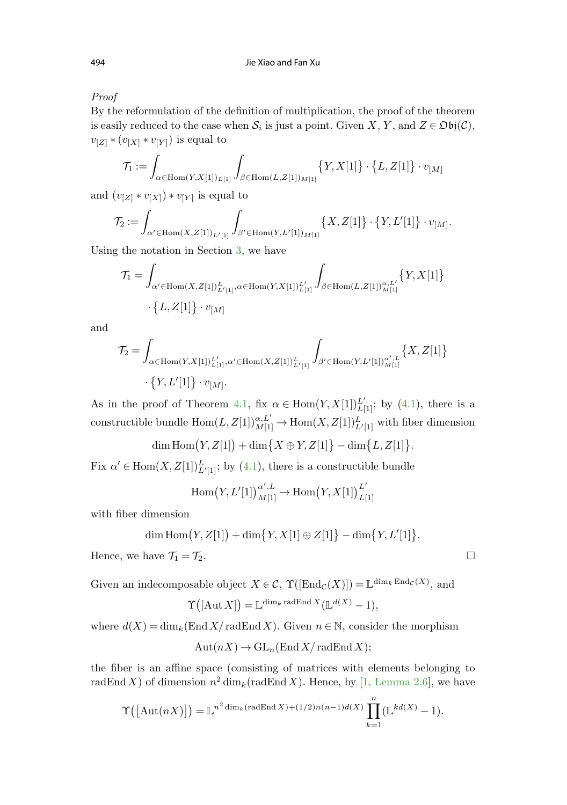Proof

By the reformulation of the definition of multiplication, the proof of the theorem is easily reduced to the case when  $S_i$  is just a point. Given X, Y, and  $Z \in \mathfrak{Obj}(\mathcal{C})$ ,  $v_{[Z]} * (v_{[X]} * v_{[Y]})$  is equal to

$$
\mathcal{T}_1 := \int_{\alpha \in \text{Hom}(Y, X[1])_{L[1]}} \int_{\beta \in \text{Hom}(L, Z[1])_{M[1]}} \big\{ Y, X[1] \big\} \cdot \big\{ L, Z[1] \big\} \cdot v_{[M]}
$$

and  $(v_{[Z]} * v_{[X]}) * v_{[Y]}$  is equal to

$$
\mathcal{T}_2 := \int_{\alpha' \in \operatorname{Hom}(X,Z[1])_{L'[1]}} \int_{\beta' \in \operatorname{Hom}(Y,L'[1])_{M[1]}} \left\{ X, Z[1] \right\} \cdot \left\{ Y, L'[1] \right\} \cdot v_{[M]}.
$$

Using the notation in Section [3,](#page-3-0) we have

$$
\mathcal{T}_1 = \int_{\alpha' \in \text{Hom}(X, Z[1])_{L'[1]}^L, \alpha \in \text{Hom}(Y, X[1])_{L[1]}^{L'}} \int_{\beta \in \text{Hom}(L, Z[1])_{M[1]}^{\alpha, L'}} \{Y, X[1]\} \cdot \{L, Z[1]\} \cdot v_{[M]}
$$

and

$$
\mathcal{T}_2 = \int_{\alpha \in \text{Hom}(Y, X[1])_{L[1]}^L, \alpha' \in \text{Hom}(X, Z[1])_{L'[1]}^L} \int_{\beta' \in \text{Hom}(Y, L'[1])_{M[1]}^{\alpha', L}} \{X, Z[1]\} \cdot \{Y, L'[1]\} \cdot v_{[M]}.
$$

As in the proof of Theorem [4.1](#page-9-0), fix  $\alpha \in \text{Hom}(Y, X[1])_{L[1]}^{L'}$ ; by (4.1), there is a constructible bundle  $\text{Hom}(L, Z[1])_{M[1]}^{\alpha, L'} \to \text{Hom}(X, Z[1])_{L'[1]}^L$  with fiber dimension

$$
\dim{\rm Hom}\big(Y,Z[1]\big)+\dim\big\{X\oplus Y,Z[1]\big\}-\dim\big\{L,Z[1]\big\}
$$

Fix  $\alpha' \in \text{Hom}(X, Z[1])_{L'[1]}^L$ ; by [\(4.1\)](#page-9-0), there is a constructible bundle

$$
\operatorname{Hom}\big(Y,L'[1]\big)^{\alpha',L}_{M[1]}\to\operatorname{Hom}\big(Y,X[1]\big)^{L'}_{L[1]}
$$

with fiber dimension

$$
\dim \text{Hom}(Y, Z[1]) + \dim \{Y, X[1] \oplus Z[1]\} - \dim \{Y, L'[1]\}.
$$

Hence, we have  $\mathcal{T}_1 = \mathcal{T}_2$ .

Given an indecomposable object  $X \in \mathcal{C}$ ,  $\Upsilon([\text{End}_{\mathcal{C}}(X)]) = \mathbb{L}^{\dim_k \text{End}_{\mathcal{C}}(X)}$ , and

$$
\Upsilon([\text{Aut}\,X]) = \mathbb{L}^{\dim_k \text{radEnd}\,X}(\mathbb{L}^{d(X)} - 1),
$$

where  $d(X) = \dim_k(\text{End } X)$  radEnd X). Given  $n \in \mathbb{N}$ , consider the morphism

$$
Aut(nX) \to GL_n(\text{End } X/\text{rad} \text{End } X);
$$

the fiber is an affine space (consisting of matrices with elements belonging to radEnd X) of dimension  $n^2 \dim_k(\text{radEnd } X)$ . Hence, by [\[1, Lemma 2.6](#page-21-0)], we have

$$
\Upsilon\big(\big[\text{Aut}(nX)\big]\big) = \mathbb{L}^{n^2 \dim_k\left(\text{radEnd } X\right) + (1/2)n(n-1)d(X)} \prod_{k=1}^n (\mathbb{L}^{kd(X)} - 1).
$$

.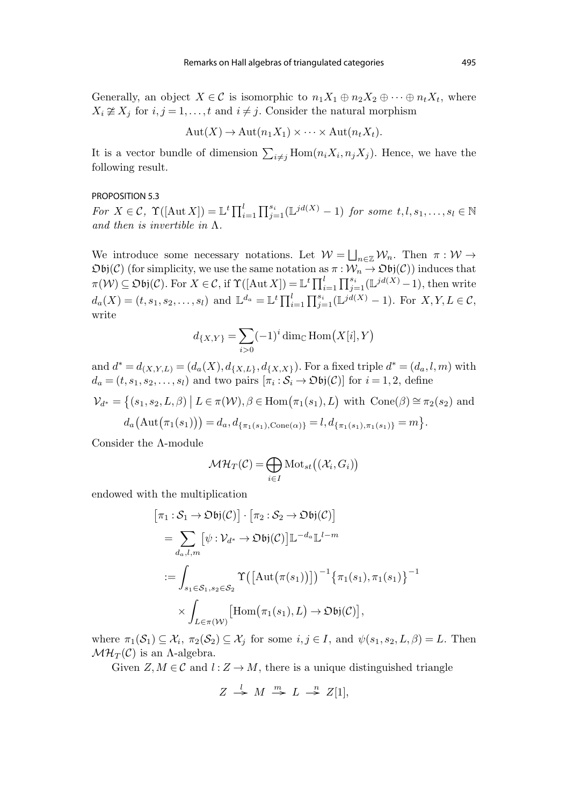<span id="page-18-0"></span>Generally, an object  $X \in \mathcal{C}$  is isomorphic to  $n_1X_1 \oplus n_2X_2 \oplus \cdots \oplus n_tX_t$ , where  $X_i \not\cong X_j$  for  $i, j = 1, \ldots, t$  and  $i \neq j$ . Consider the natural morphism

$$
Aut(X) \to Aut(n_1X_1) \times \cdots \times Aut(n_tX_t).
$$

It is a vector bundle of dimension  $\sum_{i \neq j} \text{Hom}(n_i X_i, n_j X_j)$ . Hence, we have the following result.

#### PROPOSITION 5.3

For  $X \in \mathcal{C}$ ,  $\Upsilon([\text{Aut }X]) = \mathbb{L}^t \prod_{i=1}^l \prod_{j=1}^{s_i} (\mathbb{L}^{jd(X)} - 1)$  for some  $t, l, s_1, \ldots, s_l \in \mathbb{N}$ and then is invertible in  $\Lambda$ .

We introduce some necessary notations. Let  $W = \bigsqcup_{n \in \mathbb{Z}} W_n$ . Then  $\pi : W \to$  $\mathfrak{D}bj(\mathcal{C})$  (for simplicity, we use the same notation as  $\pi : \mathcal{W}_n \to \mathfrak{D}bj(\mathcal{C})$ ) induces that  $\pi(\mathcal{W}) \subseteq \mathfrak{Obj}(\mathcal{C})$ . For  $X \in \mathcal{C}$ , if  $\Upsilon([\text{Aut } X]) = \mathbb{L}^t \prod_{i=1}^l \prod_{j=1}^{s_i} (\mathbb{L}^{jd(X)} - 1)$ , then write  $d_a(X) = (t, s_1, s_2, \dots, s_l)$  and  $\mathbb{L}^{d_a} = \mathbb{L}^t \prod_{i=1}^l \prod_{j=1}^{s_i} (\mathbb{L}^{jd(X)} - 1)$ . For  $X, Y, L \in \mathcal{C}$ , write

$$
d_{\{X,Y\}} = \sum_{i>0} (-1)^i \dim_{\mathbb{C}} \text{Hom}(X[i], Y)
$$

and  $d^* = d_{(X,Y,L)} = (d_a(X), d_{\{X,L\}}, d_{\{X,X\}})$ . For a fixed triple  $d^* = (d_a, l, m)$  with  $d_a = (t, s_1, s_2, \ldots, s_l)$  and two pairs  $[\pi_i : S_i \to \mathfrak{Ob}j(\mathcal{C})]$  for  $i = 1, 2$ , define

$$
\mathcal{V}_{d^*} = \{ (s_1, s_2, L, \beta) \mid L \in \pi(\mathcal{W}), \beta \in \text{Hom}(\pi_1(s_1), L) \text{ with } \text{Cone}(\beta) \cong \pi_2(s_2) \text{ and}
$$

$$
d_a\big(\text{Aut}(\pi_1(s_1))\big) = d_a, d_{\{\pi_1(s_1), \text{Cone}(\alpha)\}} = l, d_{\{\pi_1(s_1), \pi_1(s_1)\}} = m \}.
$$

Consider the Λ-module

$$
\mathcal{MH}_T(\mathcal{C}) = \bigoplus_{i \in I} \text{Mot}_{st}((\mathcal{X}_i, G_i))
$$

endowed with the multiplication

$$
[\pi_1 : S_1 \to \mathfrak{Obj}(\mathcal{C})] \cdot [\pi_2 : S_2 \to \mathfrak{Obj}(\mathcal{C})]
$$
  
\n
$$
= \sum_{d_a, l, m} [\psi : \mathcal{V}_{d^*} \to \mathfrak{Obj}(\mathcal{C})] \mathbb{L}^{-d_a} \mathbb{L}^{l-m}
$$
  
\n
$$
:= \int_{s_1 \in S_1, s_2 \in S_2} \Upsilon([\mathrm{Aut}(\pi(s_1))])^{-1} {\{\pi_1(s_1), \pi_1(s_1)\}}^{-1}
$$
  
\n
$$
\times \int_{L \in \pi(\mathcal{W})} [\mathrm{Hom}(\pi_1(s_1), L) \to \mathfrak{Obj}(\mathcal{C})],
$$

where  $\pi_1(\mathcal{S}_1) \subseteq \mathcal{X}_i$ ,  $\pi_2(\mathcal{S}_2) \subseteq \mathcal{X}_j$  for some  $i, j \in I$ , and  $\psi(s_1, s_2, L, \beta) = L$ . Then  $\mathcal{MH}_T(\mathcal{C})$  is an A-algebra.

Given  $Z, M \in \mathcal{C}$  and  $l : Z \to M$ , there is a unique distinguished triangle

$$
Z \stackrel{l}{\rightarrow} M \stackrel{m}{\rightarrow} L \stackrel{n}{\rightarrow} Z[1],
$$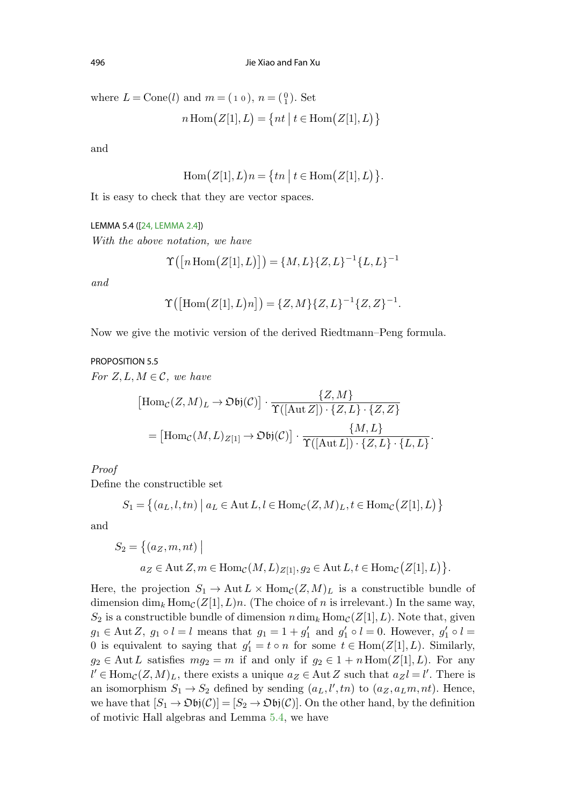where  $L = \text{Cone}(l)$  and  $m = (1 0), n = \begin{pmatrix} 0 \\ 1 \end{pmatrix}$ . Set

$$
n \operatorname{Hom}(Z[1], L) = \{ nt \mid t \in \operatorname{Hom}(Z[1], L) \}
$$

and

$$
\operatorname{Hom}(Z[1],L)n = \{tn \mid t \in \operatorname{Hom}(Z[1],L)\}.
$$

It is easy to check that they are vector spaces.

#### LEMMA 5.4 ([[24, LEMMA 2.4](#page-22-0)])

With the above notation, we have

$$
\Upsilon([n \operatorname{Hom}(Z[1], L)]) = \{M, L\} \{Z, L\}^{-1} \{L, L\}^{-1}
$$

and

$$
\Upsilon([\text{Hom}(Z[1],L)n]) = \{Z,M\}\{Z,L\}^{-1}\{Z,Z\}^{-1}.
$$

Now we give the motivic version of the derived Riedtmann–Peng formula.

## PROPOSITION 5.5

For  $Z, L, M \in \mathcal{C}$ , we have

$$
[\text{Hom}_{\mathcal{C}}(Z,M)_L \to \text{Obj}(\mathcal{C})] \cdot \frac{\{Z,M\}}{\Upsilon([\text{Aut }Z]) \cdot \{Z,L\} \cdot \{Z,Z\}}
$$

$$
= [\text{Hom}_{\mathcal{C}}(M,L)_{Z[1]} \to \text{Obj}(\mathcal{C})] \cdot \frac{\{M,L\}}{\Upsilon([\text{Aut }L]) \cdot \{Z,L\} \cdot \{L,L\}}
$$

.

Proof

Define the constructible set

$$
S_1 = \left\{(a_L, l, tn) \; \middle| \; a_L \in \mathrm{Aut}\,L, l \in \mathrm{Hom}_{\mathcal{C}}(Z, M)_L, t \in \mathrm{Hom}_{\mathcal{C}}\big(Z[1], L\big) \right\}
$$

and

$$
S_2 = \{(a_Z, m, nt) \mid
$$
  

$$
a_Z \in \text{Aut } Z, m \in \text{Hom}_{\mathcal{C}}(M, L)_{Z[1]}, g_2 \in \text{Aut } L, t \in \text{Hom}_{\mathcal{C}}(Z[1], L)\}.
$$

Here, the projection  $S_1 \to \text{Aut } L \times \text{Hom}_{\mathcal{C}}(Z,M)_L$  is a constructible bundle of dimension dim<sub>k</sub> Hom<sub>C</sub>(Z[1], L)n. (The choice of n is irrelevant.) In the same way,  $S_2$  is a constructible bundle of dimension  $n \dim_k \text{Hom}_{\mathcal{C}}(Z[1], L)$ . Note that, given  $g_1 \in \text{Aut } Z$ ,  $g_1 \circ l = l$  means that  $g_1 = 1 + g'_1$  and  $g'_1 \circ l = 0$ . However,  $g'_1 \circ l =$ 0 is equivalent to saying that  $g'_1 = t \circ n$  for some  $t \in \text{Hom}(Z[1], L)$ . Similarly,  $g_2 \in \text{Aut } L$  satisfies  $mg_2 = m$  if and only if  $g_2 \in 1 + n \text{Hom}(Z[1], L)$ . For any  $l' \in \text{Hom}_{\mathcal{C}}(Z,M)_L$ , there exists a unique  $a_Z \in \text{Aut } Z$  such that  $a_Z l = l'$ . There is an isomorphism  $S_1 \rightarrow S_2$  defined by sending  $(a_L, l', tn)$  to  $(a_Z, a_Lm, nt)$ . Hence, we have that  $[S_1 \to \mathfrak{Ob}j(\mathcal{C})] = [S_2 \to \mathfrak{Ob}j(\mathcal{C})]$ . On the other hand, by the definition of motivic Hall algebras and Lemma 5.4, we have

<span id="page-19-0"></span>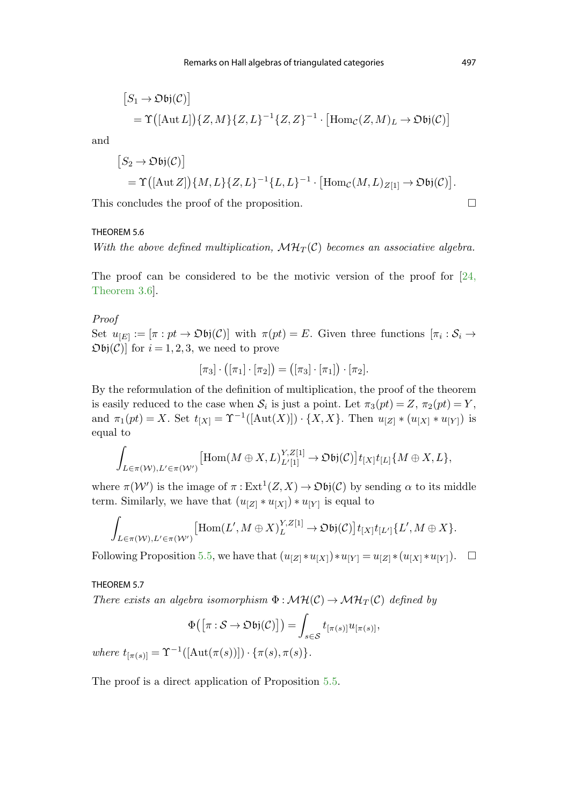$$
[S_1 \to \mathfrak{Obj}(\mathcal{C})]
$$
  
=  $\Upsilon([\text{Aut } L])\{Z, M\}\{Z, L\}^{-1}\{Z, Z\}^{-1} \cdot [\text{Hom}_{\mathcal{C}}(Z, M)_L \to \mathfrak{Obj}(\mathcal{C})]$ 

and

$$
[S_2 \to \mathfrak{Obj}(\mathcal{C})] = \Upsilon([\text{Aut }Z])\{M, L\}\{Z, L\}^{-1}\{L, L\}^{-1} \cdot [\text{Hom}_{\mathcal{C}}(M, L)_{Z[1]} \to \mathfrak{Obj}(\mathcal{C})].
$$

This concludes the proof of the proposition.

#### THEOREM 5.6

With the above defined multiplication,  $\mathcal{MH}_T(\mathcal{C})$  becomes an associative algebra.

The proof c[an be considered to be the motivic version of the proof for \[24](#page-22-0), Theorem 3.6].

## Proof

Set  $u_{[E]} := [\pi : pt \to \mathfrak{D} \mathfrak{bi}(\mathcal{C})]$  with  $\pi(pt) = E$ . Given three functions  $[\pi_i : S_i \to \mathfrak{D} \mathfrak{bi}(\mathcal{C})]$  $\mathfrak{Ob}(\mathcal{C})$  for  $i = 1, 2, 3$ , we need to prove

$$
[\pi_3] \cdot ([\pi_1] \cdot [\pi_2]) = ([\pi_3] \cdot [\pi_1]) \cdot [\pi_2].
$$

By the reformulation of the definition of multiplication, the proof of the theorem is easily reduced to the case when  $S_i$  is just a point. Let  $\pi_3(pt) = Z$ ,  $\pi_2(pt) = Y$ , and  $\pi_1(pt) = X$ . Set  $t_{[X]} = \Upsilon^{-1}([Aut(X)]) \cdot \{X,X\}$ . Then  $u_{[Z]} * (u_{[X]} * u_{[Y]})$  is equal to

$$
\int_{L\in \pi(\mathcal W), L'\in \pi(\mathcal W')} \bigl[ \mathrm{Hom}(M \oplus X, L)^{Y,Z[1]}_{L'[1]} \to \mathfrak{Obj}(\mathcal C) \bigr] t_{[X]} t_{[L]} \{M \oplus X, L\},
$$

where  $\pi(\mathcal{W}')$  is the image of  $\pi: \text{Ext}^1(Z,X) \to \mathfrak{Ob}(\mathcal{C})$  by sending  $\alpha$  to its middle term. Similarly, we have that  $(u_{[Z]} * u_{[X]}) * u_{[Y]}$  is equal to

$$
\int_{L \in \pi(\mathcal{W}), L' \in \pi(\mathcal{W}')} [\text{Hom}(L', M \oplus X)^{Y, Z[1]}_{L} \to \text{Obj}(\mathcal{C})] t_{[X]} t_{[L']} \{L', M \oplus X\}.
$$

Following Proposition [5.5,](#page-19-0) we have that  $(u_{[Z]} * u_{[X]}) * u_{[Y]} = u_{[Z]} * (u_{[X]} * u_{[Y]}). \square$ 

THEOREM 5.7

There exists an algebra isomorphism  $\Phi : \mathcal{MH}(\mathcal{C}) \to \mathcal{MH}_T(\mathcal{C})$  defined by

$$
\Phi([\pi : S \to \mathfrak{D} \mathfrak{bi}(\mathcal{C})]) = \int_{s \in \mathcal{S}} t_{[\pi(s)]} u_{[\pi(s)]},
$$
  

$$
\frac{1}{(\text{Aut}(\pi(s))]} \cdot {\pi(s), \pi(s)}.
$$

where  $t_{[\pi(s)]} = \Upsilon^{-1}([\text{Aut}(\pi(s))]) \cdot {\pi(s), \pi(s)}$ 

The proof is a direct application of Proposition [5.5](#page-19-0).

 $\Box$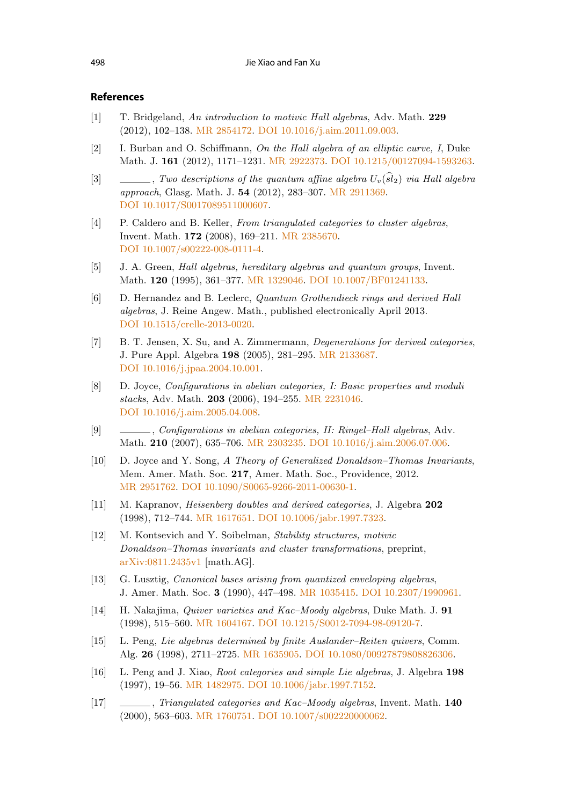# <span id="page-21-0"></span>**References**

- [1] T. Bridgeland, An introduction to motivic Hall algebras, Adv. Math. **229** (2012), 102–138. [MR 2854172](http://www.ams.org/mathscinet-getitem?mr=2854172). [DOI 10.1016/j.aim.2011.09.003](http://dx.doi.org/10.1016/j.aim.2011.09.003).
- [2] I. Burban and O. Schiffmann, On the Hall algebra of an elliptic curve, I, Duke Math. J. **161** (2012), 1171–1231. [MR 2922373.](http://www.ams.org/mathscinet-getitem?mr=2922373) [DOI 10.1215/00127094-1593263](http://dx.doi.org/10.1215/00127094-1593263).
- [3]  $\Box$ , Two descriptions of the quantum affine algebra  $U_v(\widehat{sl}_2)$  via Hall algebra approach, Glasg. Math. J. **54** (2012), 283–307. [MR 2911369.](http://www.ams.org/mathscinet-getitem?mr=2911369) [DOI 10.1017/S0017089511000607.](http://dx.doi.org/10.1017/S0017089511000607)
- [4] P. Caldero and B. Keller, From triangulated categories to cluster algebras, Invent. Math. **172** (2008), 169–211. [MR 2385670](http://www.ams.org/mathscinet-getitem?mr=2385670). [DOI 10.1007/s00222-008-0111-4.](http://dx.doi.org/10.1007/s00222-008-0111-4)
- [5] J. A. Green, Hall algebras, hereditary algebras and quantum groups, Invent. Math. **120** (1995), 361–377. [MR 1329046](http://www.ams.org/mathscinet-getitem?mr=1329046). [DOI 10.1007/BF01241133.](http://dx.doi.org/10.1007/BF01241133)
- [6] D. Hernandez and B. Leclerc, Quantum Grothendieck rings and derived Hall algebras, J. Reine Angew. Math., published electronically April 2013. [DOI 10.1515/crelle-2013-0020.](http://dx.doi.org/10.1515/crelle-2013-0020)
- [7] B. T. Jensen, X. Su, and A. Zimmermann, Degenerations for derived categories, J. Pure Appl. Algebra **198** (2005), 281–295. [MR 2133687](http://www.ams.org/mathscinet-getitem?mr=2133687). [DOI 10.1016/j.jpaa.2004.10.001](http://dx.doi.org/10.1016/j.jpaa.2004.10.001).
- [8] D. Joyce, Configurations in abelian categories, I: Basic properties and moduli stacks, Adv. Math. **203** (2006), 194–255. [MR 2231046](http://www.ams.org/mathscinet-getitem?mr=2231046). [DOI 10.1016/j.aim.2005.04.008](http://dx.doi.org/10.1016/j.aim.2005.04.008).
- [9] , Configurations in abelian categories, II: Ringel–Hall algebras, Adv. Math. **210** (2007), 635–706. [MR 2303235](http://www.ams.org/mathscinet-getitem?mr=2303235). [DOI 10.1016/j.aim.2006.07.006.](http://dx.doi.org/10.1016/j.aim.2006.07.006)
- [10] D. Joyce and Y. Song, A Theory of Generalized Donaldson–Thomas Invariants, Mem. Amer. Math. Soc. **217**, Amer. Math. Soc., Providence, 2012. [MR 2951762.](http://www.ams.org/mathscinet-getitem?mr=2951762) [DOI 10.1090/S0065-9266-2011-00630-1](http://dx.doi.org/10.1090/S0065-9266-2011-00630-1).
- [11] M. Kapranov, Heisenberg doubles and derived categories, J. Algebra **202** (1998), 712–744. [MR 1617651](http://www.ams.org/mathscinet-getitem?mr=1617651). [DOI 10.1006/jabr.1997.7323](http://dx.doi.org/10.1006/jabr.1997.7323).
- [12] M. Kontsevich and Y. Soibelman, Stability structures, motivic Donaldson–Thomas invariants and cluster transformations, preprint, [arXiv:0811.2435v1](http://arxiv.org/abs/arXiv:0811.2435v1) [math.AG].
- [13] G. Lusztig, *Canonical bases arising from quantized enveloping algebras*, J. Amer. Math. Soc. **3** (1990), 447–498. [MR 1035415.](http://www.ams.org/mathscinet-getitem?mr=1035415) [DOI 10.2307/1990961](http://dx.doi.org/10.2307/1990961).
- [14] H. Nakajima, Quiver varieties and Kac–Moody algebras, Duke Math. J. **91** (1998), 515–560. [MR 1604167](http://www.ams.org/mathscinet-getitem?mr=1604167). [DOI 10.1215/S0012-7094-98-09120-7](http://dx.doi.org/10.1215/S0012-7094-98-09120-7).
- [15] L. Peng, Lie algebras determined by finite Auslander–Reiten quivers, Comm. Alg. **26** (1998), 2711–2725. [MR 1635905.](http://www.ams.org/mathscinet-getitem?mr=1635905) [DOI 10.1080/00927879808826306](http://dx.doi.org/10.1080/00927879808826306).
- [16] L. Peng and J. Xiao, Root categories and simple Lie algebras, J. Algebra **198** (1997), 19–56. [MR 1482975.](http://www.ams.org/mathscinet-getitem?mr=1482975) [DOI 10.1006/jabr.1997.7152.](http://dx.doi.org/10.1006/jabr.1997.7152)
- [17] , Triangulated categories and Kac–Moody algebras, Invent. Math. **140** (2000), 563–603. [MR 1760751](http://www.ams.org/mathscinet-getitem?mr=1760751). [DOI 10.1007/s002220000062](http://dx.doi.org/10.1007/s002220000062).